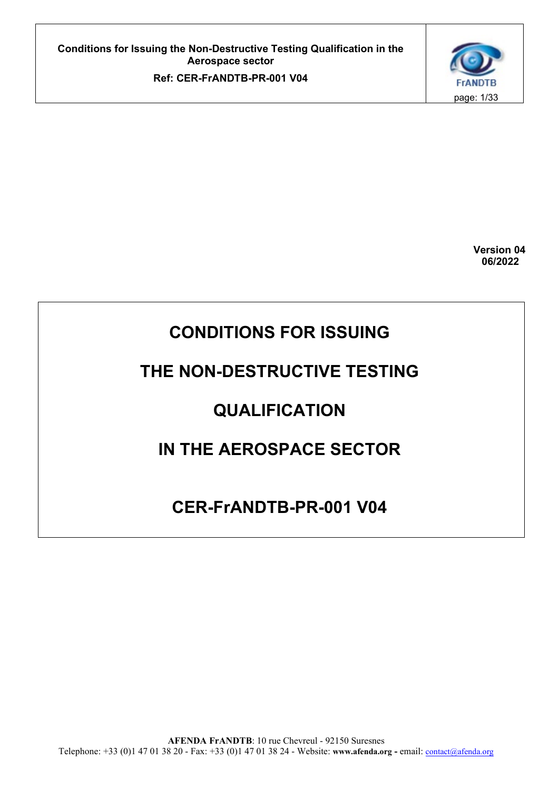

 **Version 04 06/2022**

# **CONDITIONS FOR ISSUING**

# **THE NON-DESTRUCTIVE TESTING**

# **QUALIFICATION**

# **IN THE AEROSPACE SECTOR**

# **CER-FrANDTB-PR-001 V04**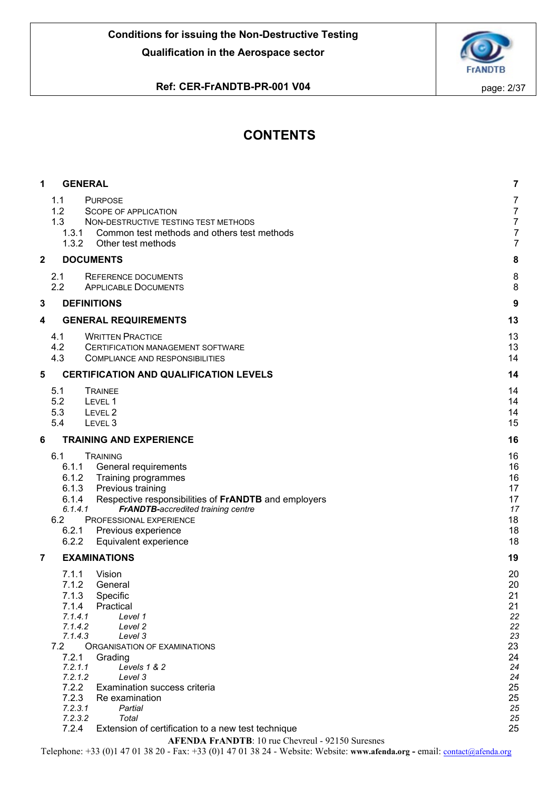

# **Ref: CER-FrANDTB-PR-001 V04 page: 2/37**

# **CONTENTS**

| 1 | <b>GENERAL</b>                                                                                                                                                                                                                                                                                                                                                                                                                                   | $\overline{7}$                                                                               |
|---|--------------------------------------------------------------------------------------------------------------------------------------------------------------------------------------------------------------------------------------------------------------------------------------------------------------------------------------------------------------------------------------------------------------------------------------------------|----------------------------------------------------------------------------------------------|
|   | 1.1<br><b>PURPOSE</b><br>1.2<br>SCOPE OF APPLICATION<br>1.3<br>NON-DESTRUCTIVE TESTING TEST METHODS<br>1.3.1<br>Common test methods and others test methods<br>1.3.2<br>Other test methods                                                                                                                                                                                                                                                       | $\overline{7}$<br>$\overline{7}$<br>$\overline{7}$<br>$\overline{7}$<br>$\overline{7}$       |
| 2 | <b>DOCUMENTS</b>                                                                                                                                                                                                                                                                                                                                                                                                                                 | 8                                                                                            |
|   | 2.1<br><b>REFERENCE DOCUMENTS</b><br>2.2<br><b>APPLICABLE DOCUMENTS</b>                                                                                                                                                                                                                                                                                                                                                                          | 8<br>8                                                                                       |
| 3 | <b>DEFINITIONS</b>                                                                                                                                                                                                                                                                                                                                                                                                                               | 9                                                                                            |
| 4 | <b>GENERAL REQUIREMENTS</b>                                                                                                                                                                                                                                                                                                                                                                                                                      | 13                                                                                           |
|   | 4.1<br><b>WRITTEN PRACTICE</b><br>4.2<br>CERTIFICATION MANAGEMENT SOFTWARE<br>4.3<br><b>COMPLIANCE AND RESPONSIBILITIES</b>                                                                                                                                                                                                                                                                                                                      | 13<br>13<br>14                                                                               |
| 5 | <b>CERTIFICATION AND QUALIFICATION LEVELS</b>                                                                                                                                                                                                                                                                                                                                                                                                    | 14                                                                                           |
|   | 5.1<br><b>TRAINEE</b><br>5.2<br>LEVEL 1<br>5.3<br>LEVEL <sub>2</sub><br>5.4<br>LEVEL <sub>3</sub>                                                                                                                                                                                                                                                                                                                                                | 14<br>14<br>14<br>15                                                                         |
| 6 | <b>TRAINING AND EXPERIENCE</b>                                                                                                                                                                                                                                                                                                                                                                                                                   | 16                                                                                           |
|   | 6.1<br><b>TRAINING</b><br>6.1.1<br>General requirements<br>6.1.2<br>Training programmes<br>6.1.3<br>Previous training<br>6.1.4<br>Respective responsibilities of FrANDTB and employers<br>6.1.4.1<br>FrANDTB-accredited training centre<br>6.2<br>PROFESSIONAL EXPERIENCE<br>6.2.1<br>Previous experience<br>6.2.2<br>Equivalent experience                                                                                                      | 16<br>16<br>16<br>17<br>17<br>17<br>18<br>18<br>18                                           |
| 7 | <b>EXAMINATIONS</b>                                                                                                                                                                                                                                                                                                                                                                                                                              | 19                                                                                           |
|   | 7.1.1<br>Vision<br>7.1.2<br>General<br>Specific<br>7.1.3<br>7.1.4<br>Practical<br>7.1.4.1<br>Level 1<br>7.1.4.2<br>Level 2<br>7.1.4.3<br>Level 3<br>7.2<br><b>ORGANISATION OF EXAMINATIONS</b><br>7.2.1<br>Grading<br>7.2.1.1<br>Levels 1 & 2<br>7.2.1.2<br>Level 3<br>7.2.2<br>Examination success criteria<br>7.2.3<br>Re examination<br>7.2.3.1<br>Partial<br>7.2.3.2<br>Total<br>7.2.4<br>Extension of certification to a new test technique | 20<br>20<br>21<br>21<br>22<br>22<br>23<br>23<br>24<br>24<br>24<br>25<br>25<br>25<br>25<br>25 |
|   | <b>AFENDA FrANDTB: 10 rue Chevreul - 92150 Suresnes</b>                                                                                                                                                                                                                                                                                                                                                                                          |                                                                                              |
|   |                                                                                                                                                                                                                                                                                                                                                                                                                                                  |                                                                                              |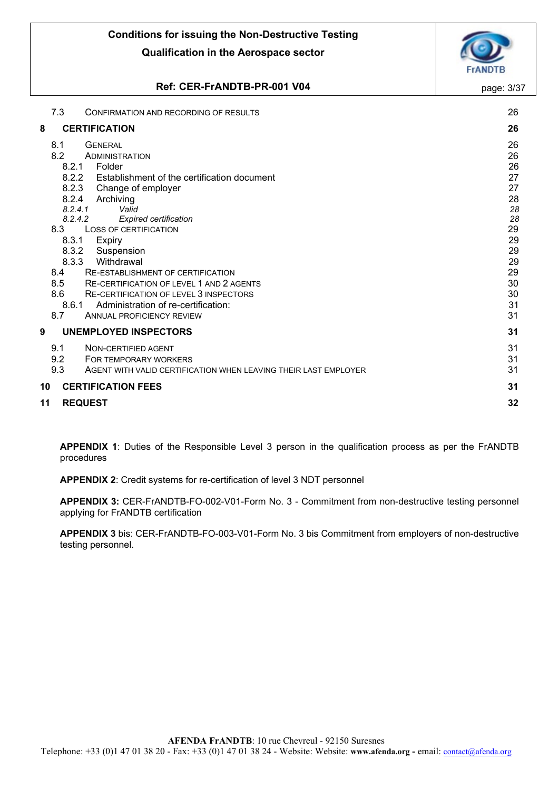# **Ref: CER-FrANDTB-PR-001 V04 page: 3/37**

|    | 7.3     | CONFIRMATION AND RECORDING OF RESULTS                           | 26 |
|----|---------|-----------------------------------------------------------------|----|
| 8  |         | <b>CERTIFICATION</b>                                            | 26 |
|    | 8.1     | <b>GENERAL</b>                                                  | 26 |
|    | 8.2     | ADMINISTRATION                                                  | 26 |
|    | 8.2.1   | Folder                                                          | 26 |
|    | 8.2.2   | Establishment of the certification document                     | 27 |
|    | 8.2.3   | Change of employer                                              | 27 |
|    | 8.2.4   | Archiving                                                       | 28 |
|    | 8.2.4.1 | Valid                                                           | 28 |
|    | 8.2.4.2 | Expired certification                                           | 28 |
|    | 8.3     | <b>LOSS OF CERTIFICATION</b>                                    | 29 |
|    | 8.3.1   | <b>Expiry</b>                                                   | 29 |
|    | 8.3.2   | Suspension                                                      | 29 |
|    | 8.3.3   | Withdrawal                                                      | 29 |
|    | 8.4     | RE-ESTABLISHMENT OF CERTIFICATION                               | 29 |
|    | 8.5     | <b>RE-CERTIFICATION OF LEVEL 1 AND 2 AGENTS</b>                 | 30 |
|    | 8.6     | RE-CERTIFICATION OF LEVEL 3 INSPECTORS                          | 30 |
|    | 8.6.1   | Administration of re-certification:                             | 31 |
|    | 8.7     | <b>ANNUAL PROFICIENCY REVIEW</b>                                | 31 |
| 9  |         | <b>UNEMPLOYED INSPECTORS</b>                                    | 31 |
|    | 9.1     | NON-CERTIFIED AGENT                                             | 31 |
|    | 9.2     | FOR TEMPORARY WORKERS                                           | 31 |
|    | 9.3     | AGENT WITH VALID CERTIFICATION WHEN LEAVING THEIR LAST EMPLOYER | 31 |
| 10 |         | <b>CERTIFICATION FEES</b>                                       | 31 |
| 11 |         | <b>REQUEST</b>                                                  | 32 |
|    |         |                                                                 |    |

**APPENDIX 1**: Duties of the Responsible Level 3 person in the qualification process as per the FrANDTB procedures

**APPENDIX 2**: Credit systems for re-certification of level 3 NDT personnel

**APPENDIX 3:** CER-FrANDTB-FO-002-V01-Form No. 3 - Commitment from non-destructive testing personnel applying for FrANDTB certification

**APPENDIX 3** bis: CER-FrANDTB-FO-003-V01-Form No. 3 bis Commitment from employers of non-destructive testing personnel.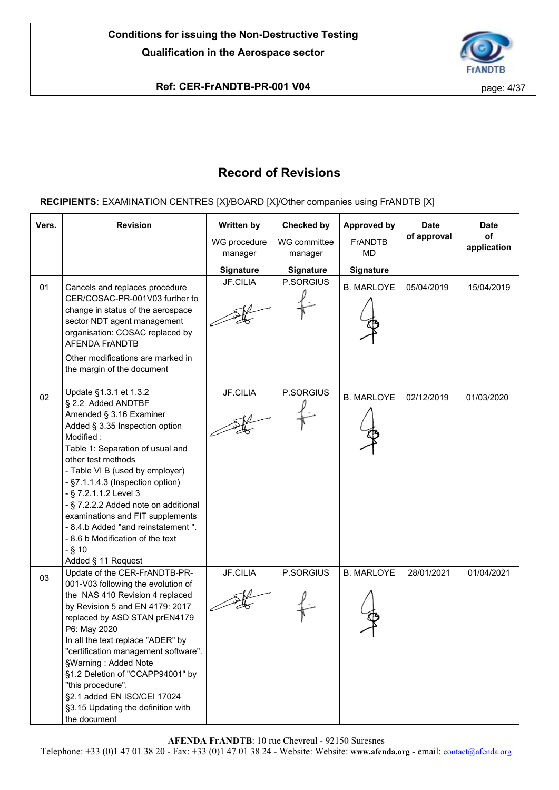

# **Ref: CER-FrANDTB-PR-001 V04 page: 4/37**

# **Record of Revisions**

# **RECIPIENTS**: EXAMINATION CENTRES [X]/BOARD [X]/Other companies using FrANDTB [X]

| Vers. | <b>Revision</b>                                                                                                                                                                                                                                                                                                                                                                                                                                                          | Written by<br>WG procedure<br>manager | <b>Checked by</b><br>WG committee<br>manager | <b>Approved by</b><br><b>FrANDTB</b><br><b>MD</b> | <b>Date</b><br>of approval | <b>Date</b><br>of<br>application |
|-------|--------------------------------------------------------------------------------------------------------------------------------------------------------------------------------------------------------------------------------------------------------------------------------------------------------------------------------------------------------------------------------------------------------------------------------------------------------------------------|---------------------------------------|----------------------------------------------|---------------------------------------------------|----------------------------|----------------------------------|
|       |                                                                                                                                                                                                                                                                                                                                                                                                                                                                          | <b>Signature</b>                      | <b>Signature</b>                             | Signature                                         |                            |                                  |
| 01    | Cancels and replaces procedure<br>CER/COSAC-PR-001V03 further to<br>change in status of the aerospace<br>sector NDT agent management<br>organisation: COSAC replaced by<br><b>AFENDA FrANDTB</b><br>Other modifications are marked in<br>the margin of the document                                                                                                                                                                                                      | JF.CILIA                              | P.SORGIUS                                    | <b>B. MARLOYE</b>                                 | 05/04/2019                 | 15/04/2019                       |
| 02    | Update §1.3.1 et 1.3.2<br>§ 2.2 Added ANDTBF<br>Amended § 3.16 Examiner<br>Added § 3.35 Inspection option<br>Modified:<br>Table 1: Separation of usual and<br>other test methods<br>- Table VI B (used by employer)<br>- §7.1.1.4.3 (Inspection option)<br>- § 7.2.1.1.2 Level 3<br>- § 7.2.2.2 Added note on additional<br>examinations and FIT supplements<br>- 8.4.b Added "and reinstatement".<br>- 8.6 b Modification of the text<br>$-$ § 10<br>Added § 11 Request | <b>JF.CILIA</b>                       | P.SORGIUS                                    | <b>B. MARLOYE</b>                                 | 02/12/2019                 | 01/03/2020                       |
| 03    | Update of the CER-FrANDTB-PR-<br>001-V03 following the evolution of<br>the NAS 410 Revision 4 replaced<br>by Revision 5 and EN 4179: 2017<br>replaced by ASD STAN prEN4179<br>P6: May 2020<br>In all the text replace "ADER" by<br>"certification management software".<br>§Warning: Added Note<br>§1.2 Deletion of "CCAPP94001" by<br>"this procedure".<br>§2.1 added EN ISO/CEI 17024<br>§3.15 Updating the definition with<br>the document                            | <b>JF.CILIA</b>                       | P.SORGIUS                                    | <b>B. MARLOYE</b>                                 | 28/01/2021                 | 01/04/2021                       |

**AFENDA FrANDTB**: 10 rue Chevreul - 92150 Suresnes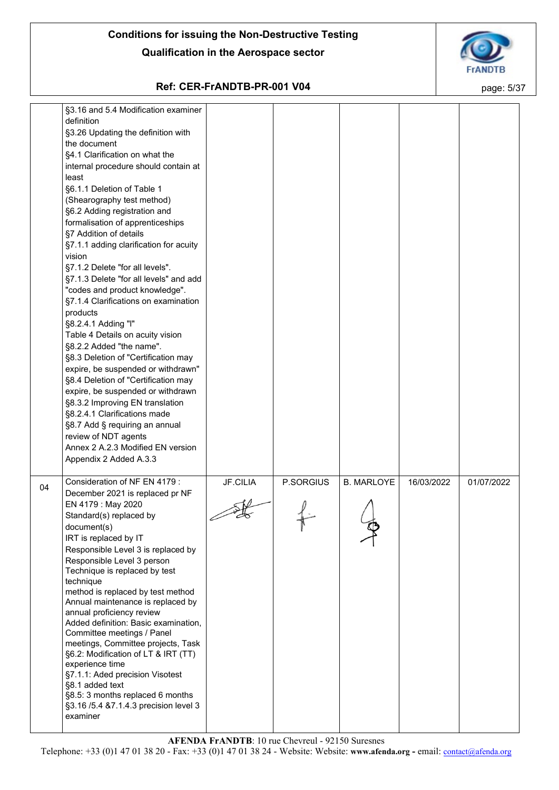

# **Ref: CER-FrANDTB-PR-001 V04 page: 5/37**

|    | §3.16 and 5.4 Modification examiner<br>definition<br>§3.26 Updating the definition with<br>the document<br>§4.1 Clarification on what the<br>internal procedure should contain at<br>least<br>§6.1.1 Deletion of Table 1<br>(Shearography test method)<br>§6.2 Adding registration and<br>formalisation of apprenticeships<br>§7 Addition of details<br>§7.1.1 adding clarification for acuity<br>vision<br>§7.1.2 Delete "for all levels".<br>§7.1.3 Delete "for all levels" and add<br>"codes and product knowledge".<br>§7.1.4 Clarifications on examination<br>products<br>§8.2.4.1 Adding "I"<br>Table 4 Details on acuity vision<br>§8.2.2 Added "the name".<br>§8.3 Deletion of "Certification may<br>expire, be suspended or withdrawn"<br>§8.4 Deletion of "Certification may<br>expire, be suspended or withdrawn<br>§8.3.2 Improving EN translation<br>§8.2.4.1 Clarifications made<br>§8.7 Add § requiring an annual<br>review of NDT agents<br>Annex 2 A.2.3 Modified EN version<br>Appendix 2 Added A.3.3 |                 |           |                   |            |            |
|----|-------------------------------------------------------------------------------------------------------------------------------------------------------------------------------------------------------------------------------------------------------------------------------------------------------------------------------------------------------------------------------------------------------------------------------------------------------------------------------------------------------------------------------------------------------------------------------------------------------------------------------------------------------------------------------------------------------------------------------------------------------------------------------------------------------------------------------------------------------------------------------------------------------------------------------------------------------------------------------------------------------------------------|-----------------|-----------|-------------------|------------|------------|
| 04 | Consideration of NF EN 4179 :<br>December 2021 is replaced pr NF<br>EN 4179 : May 2020<br>Standard(s) replaced by<br>document(s)<br>IRT is replaced by IT<br>Responsible Level 3 is replaced by<br>Responsible Level 3 person<br>Technique is replaced by test<br>technique<br>method is replaced by test method<br>Annual maintenance is replaced by<br>annual proficiency review<br>Added definition: Basic examination,<br>Committee meetings / Panel<br>meetings, Committee projects, Task<br>§6.2: Modification of LT & IRT (TT)<br>experience time<br>§7.1.1: Aded precision Visotest<br>§8.1 added text<br>§8.5: 3 months replaced 6 months<br>§3.16 /5.4 &7.1.4.3 precision level 3<br>examiner                                                                                                                                                                                                                                                                                                                 | <b>JF.CILIA</b> | P.SORGIUS | <b>B. MARLOYE</b> | 16/03/2022 | 01/07/2022 |

**AFENDA FrANDTB**: 10 rue Chevreul - 92150 Suresnes Telephone: +33 (0)1 47 01 38 20 - Fax: +33 (0)1 47 01 38 24 - Website: Website: **www.afenda.org -** email: [contact@afenda.org](mailto:contact@afenda.org)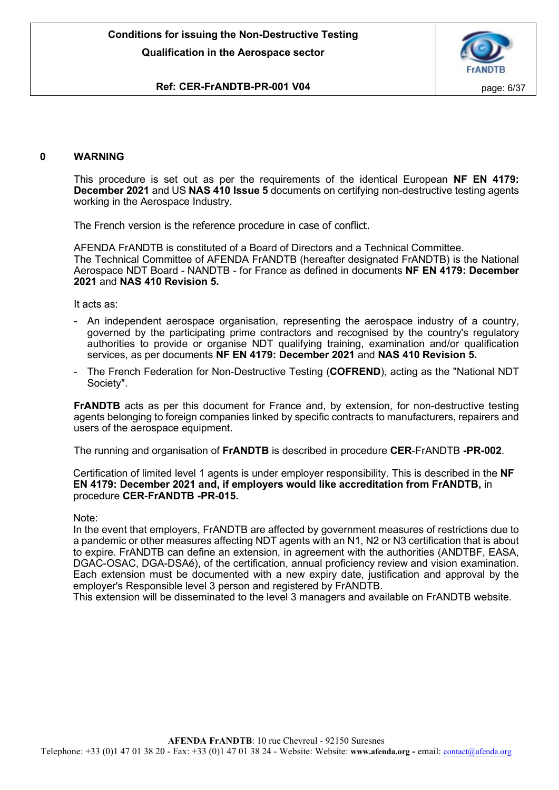

# **Ref: CER-FrANDTB-PR-001 V04 page: 6/37**

# **0 WARNING**

This procedure is set out as per the requirements of the identical European **NF EN 4179: December 2021** and US **NAS 410 Issue 5** documents on certifying non-destructive testing agents working in the Aerospace Industry.

The French version is the reference procedure in case of conflict.

AFENDA FrANDTB is constituted of a Board of Directors and a Technical Committee. The Technical Committee of AFENDA FrANDTB (hereafter designated FrANDTB) is the National Aerospace NDT Board - NANDTB - for France as defined in documents **NF EN 4179: December 2021** and **NAS 410 Revision 5.**

It acts as:

- An independent aerospace organisation, representing the aerospace industry of a country, governed by the participating prime contractors and recognised by the country's regulatory authorities to provide or organise NDT qualifying training, examination and/or qualification services, as per documents **NF EN 4179: December 2021** and **NAS 410 Revision 5.**
- The French Federation for Non-Destructive Testing (COFREND), acting as the "National NDT Society".

**FrANDTB** acts as per this document for France and, by extension, for non-destructive testing agents belonging to foreign companies linked by specific contracts to manufacturers, repairers and users of the aerospace equipment.

The running and organisation of **FrANDTB** is described in procedure **CER**-FrANDTB **-PR-002**.

Certification of limited level 1 agents is under employer responsibility. This is described in the **NF EN 4179: December 2021 and, if employers would like accreditation from FrANDTB,** in procedure **CER**-**FrANDTB -PR-015.**

Note:

In the event that employers, FrANDTB are affected by government measures of restrictions due to a pandemic or other measures affecting NDT agents with an N1, N2 or N3 certification that is about to expire. FrANDTB can define an extension, in agreement with the authorities (ANDTBF, EASA, DGAC-OSAC, DGA-DSAé), of the certification, annual proficiency review and vision examination. Each extension must be documented with a new expiry date, justification and approval by the employer's Responsible level 3 person and registered by FrANDTB.

This extension will be disseminated to the level 3 managers and available on FrANDTB website.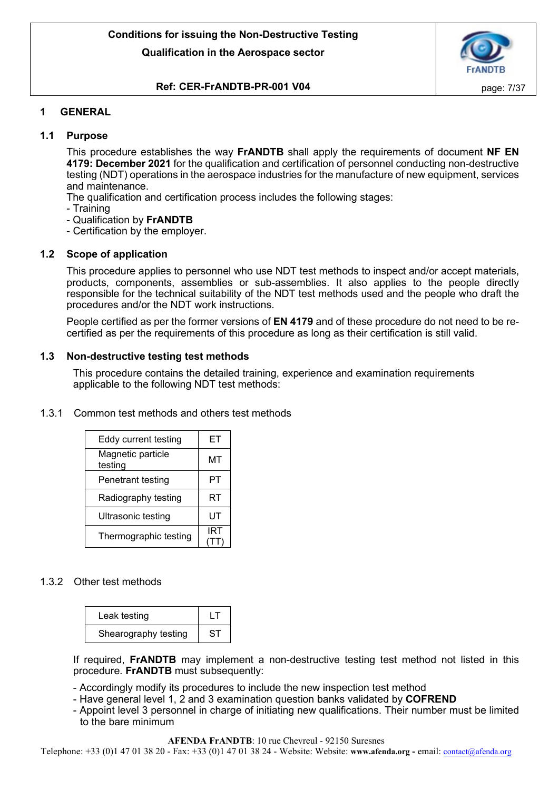

# **Ref: CER-FrANDTB-PR-001 V04 page: 7/37**

# <span id="page-6-0"></span>**1 GENERAL**

# <span id="page-6-1"></span>**1.1 Purpose**

This procedure establishes the way **FrANDTB** shall apply the requirements of document **NF EN 4179: December 2021** for the qualification and certification of personnel conducting non-destructive testing (NDT) operations in the aerospace industries for the manufacture of new equipment, services and maintenance.

- The qualification and certification process includes the following stages:
- Training
- Qualification by **FrANDTB**
- Certification by the employer.

# <span id="page-6-2"></span>**1.2 Scope of application**

This procedure applies to personnel who use NDT test methods to inspect and/or accept materials, products, components, assemblies or sub-assemblies. It also applies to the people directly responsible for the technical suitability of the NDT test methods used and the people who draft the procedures and/or the NDT work instructions.

People certified as per the former versions of **EN 4179** and of these procedure do not need to be recertified as per the requirements of this procedure as long as their certification is still valid.

## <span id="page-6-3"></span>**1.3 Non-destructive testing test methods**

This procedure contains the detailed training, experience and examination requirements applicable to the following NDT test methods:

## <span id="page-6-4"></span>1.3.1 Common test methods and others test methods

| Eddy current testing         | EТ  |
|------------------------------|-----|
| Magnetic particle<br>testing | ΜТ  |
| Penetrant testing            | PТ  |
| Radiography testing          | RT  |
| Ultrasonic testing           | UT  |
| Thermographic testing        | IRT |

# <span id="page-6-5"></span>1.3.2 Other test methods

| Leak testing         |    |
|----------------------|----|
| Shearography testing | SТ |

If required, **FrANDTB** may implement a non-destructive testing test method not listed in this procedure. **FrANDTB** must subsequently:

- Accordingly modify its procedures to include the new inspection test method

- Have general level 1, 2 and 3 examination question banks validated by **COFREND**
- Appoint level 3 personnel in charge of initiating new qualifications. Their number must be limited to the bare minimum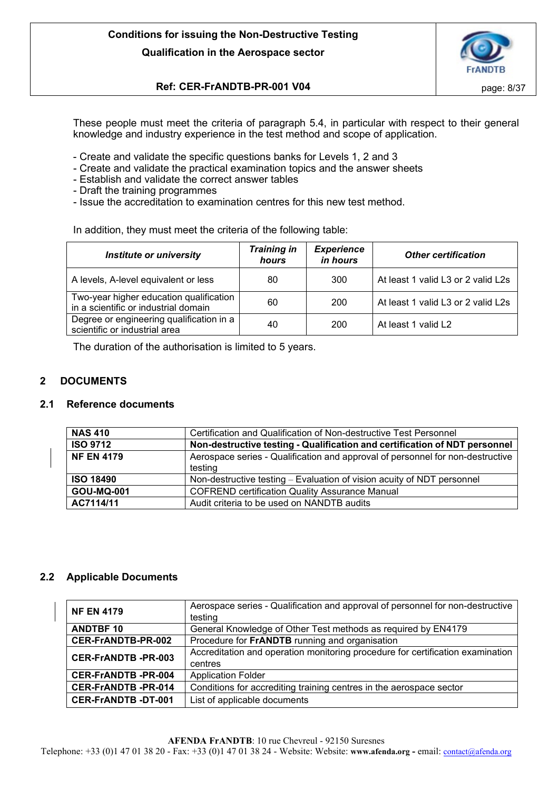

# **Ref: CER-FrANDTB-PR-001 V04 page: 8/37**

These people must meet the criteria of paragraph 5.4, in particular with respect to their general knowledge and industry experience in the test method and scope of application.

- Create and validate the specific questions banks for Levels 1, 2 and 3
- Create and validate the practical examination topics and the answer sheets
- Establish and validate the correct answer tables
- Draft the training programmes
- Issue the accreditation to examination centres for this new test method.

In addition, they must meet the criteria of the following table:

| <b>Institute or university</b>                                                  | <b>Training in</b><br>hours | <b>Experience</b><br>in hours | <b>Other certification</b>         |
|---------------------------------------------------------------------------------|-----------------------------|-------------------------------|------------------------------------|
| A levels, A-level equivalent or less                                            | 80                          | 300                           | At least 1 valid L3 or 2 valid L2s |
| Two-year higher education qualification<br>in a scientific or industrial domain | 60                          | 200                           | At least 1 valid L3 or 2 valid L2s |
| Degree or engineering qualification in a<br>scientific or industrial area       | 40                          | 200                           | At least 1 valid L2                |

The duration of the authorisation is limited to 5 years.

# <span id="page-7-0"></span>**2 DOCUMENTS**

## <span id="page-7-1"></span>**2.1 Reference documents**

| <b>NAS 410</b><br>Certification and Qualification of Non-destructive Test Personnel        |                                                                                |
|--------------------------------------------------------------------------------------------|--------------------------------------------------------------------------------|
| <b>ISO 9712</b>                                                                            | Non-destructive testing - Qualification and certification of NDT personnel     |
| <b>NF EN 4179</b>                                                                          | Aerospace series - Qualification and approval of personnel for non-destructive |
|                                                                                            | testing                                                                        |
| Non-destructive testing - Evaluation of vision acuity of NDT personnel<br><b>ISO 18490</b> |                                                                                |
| <b>GOU-MQ-001</b>                                                                          | <b>COFREND certification Quality Assurance Manual</b>                          |
| AC7114/11<br>Audit criteria to be used on NANDTB audits                                    |                                                                                |

# <span id="page-7-2"></span>**2.2 Applicable Documents**

| <b>NF EN 4179</b>         | Aerospace series - Qualification and approval of personnel for non-destructive |
|---------------------------|--------------------------------------------------------------------------------|
|                           | testing                                                                        |
| <b>ANDTBF10</b>           | General Knowledge of Other Test methods as required by EN4179                  |
| CER-FrANDTB-PR-002        | Procedure for FrANDTB running and organisation                                 |
| <b>CER-FrANDTB-PR-003</b> | Accreditation and operation monitoring procedure for certification examination |
|                           | centres                                                                        |
| <b>CER-FrANDTB-PR-004</b> | <b>Application Folder</b>                                                      |
| <b>CER-FrANDTB-PR-014</b> | Conditions for accrediting training centres in the aerospace sector            |
| <b>CER-FrANDTB-DT-001</b> | List of applicable documents                                                   |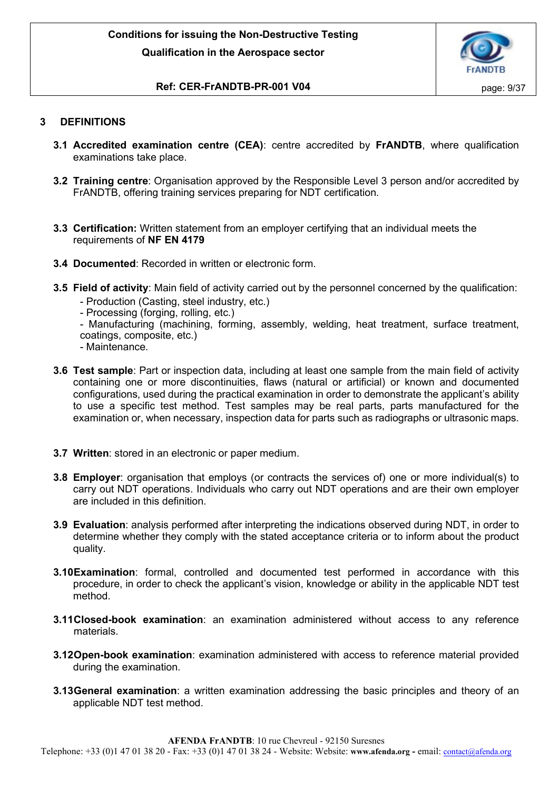

# **Ref: CER-FrANDTB-PR-001 V04 page: 9/37**

# <span id="page-8-0"></span>**3 DEFINITIONS**

- **3.1 Accredited examination centre (CEA)**: centre accredited by **FrANDTB**, where qualification examinations take place.
- **3.2 Training centre**: Organisation approved by the Responsible Level 3 person and/or accredited by FrANDTB, offering training services preparing for NDT certification.
- **3.3 Certification:** Written statement from an employer certifying that an individual meets the requirements of **NF EN 4179**
- **3.4 Documented**: Recorded in written or electronic form.
- **3.5 Field of activity**: Main field of activity carried out by the personnel concerned by the qualification:
	- Production (Casting, steel industry, etc.)
	- Processing (forging, rolling, etc.)
	- Manufacturing (machining, forming, assembly, welding, heat treatment, surface treatment, coatings, composite, etc.)
	- Maintenance.
- **3.6 Test sample**: Part or inspection data, including at least one sample from the main field of activity containing one or more discontinuities, flaws (natural or artificial) or known and documented configurations, used during the practical examination in order to demonstrate the applicant's ability to use a specific test method. Test samples may be real parts, parts manufactured for the examination or, when necessary, inspection data for parts such as radiographs or ultrasonic maps.
- **3.7 Written**: stored in an electronic or paper medium.
- **3.8 Employer**: organisation that employs (or contracts the services of) one or more individual(s) to carry out NDT operations. Individuals who carry out NDT operations and are their own employer are included in this definition.
- **3.9 Evaluation**: analysis performed after interpreting the indications observed during NDT, in order to determine whether they comply with the stated acceptance criteria or to inform about the product quality.
- **3.10Examination**: formal, controlled and documented test performed in accordance with this procedure, in order to check the applicant's vision, knowledge or ability in the applicable NDT test method.
- **3.11Closed-book examination**: an examination administered without access to any reference materials.
- **3.12Open-book examination**: examination administered with access to reference material provided during the examination.
- **3.13General examination**: a written examination addressing the basic principles and theory of an applicable NDT test method.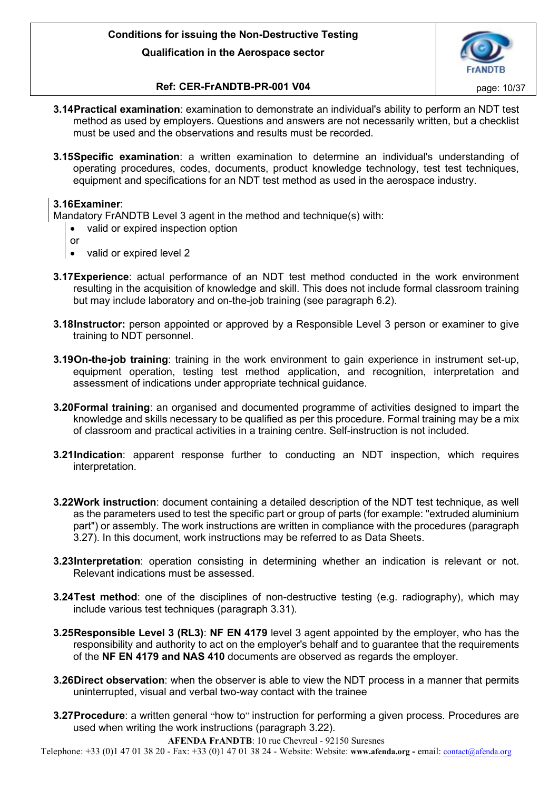

# **Ref: CER-FrANDTB-PR-001 V04 page: 10/37**

- **3.14Practical examination**: examination to demonstrate an individual's ability to perform an NDT test method as used by employers. Questions and answers are not necessarily written, but a checklist must be used and the observations and results must be recorded.
- **3.15Specific examination**: a written examination to determine an individual's understanding of operating procedures, codes, documents, product knowledge technology, test test techniques, equipment and specifications for an NDT test method as used in the aerospace industry.

# **3.16Examiner**:

Mandatory FrANDTB Level 3 agent in the method and technique(s) with:

- valid or expired inspection option
- or
- valid or expired level 2
- **3.17Experience**: actual performance of an NDT test method conducted in the work environment resulting in the acquisition of knowledge and skill. This does not include formal classroom training but may include laboratory and on-the-job training (see paragraph 6.2).
- **3.18Instructor:** person appointed or approved by a Responsible Level 3 person or examiner to give training to NDT personnel.
- **3.19On-the-job training**: training in the work environment to gain experience in instrument set-up, equipment operation, testing test method application, and recognition, interpretation and assessment of indications under appropriate technical guidance.
- **3.20Formal training**: an organised and documented programme of activities designed to impart the knowledge and skills necessary to be qualified as per this procedure. Formal training may be a mix of classroom and practical activities in a training centre. Self-instruction is not included.
- **3.21Indication**: apparent response further to conducting an NDT inspection, which requires interpretation.
- **3.22Work instruction**: document containing a detailed description of the NDT test technique, as well as the parameters used to test the specific part or group of parts (for example: "extruded aluminium part") or assembly. The work instructions are written in compliance with the procedures (paragraph 3.27). In this document, work instructions may be referred to as Data Sheets.
- **3.23Interpretation**: operation consisting in determining whether an indication is relevant or not. Relevant indications must be assessed.
- **3.24Test method**: one of the disciplines of non-destructive testing (e.g. radiography), which may include various test techniques (paragraph 3.31).
- **3.25Responsible Level 3 (RL3)**: **NF EN 4179** level 3 agent appointed by the employer, who has the responsibility and authority to act on the employer's behalf and to guarantee that the requirements of the **NF EN 4179 and NAS 410** documents are observed as regards the employer.
- **3.26Direct observation**: when the observer is able to view the NDT process in a manner that permits uninterrupted, visual and verbal two-way contact with the trainee
- **3.27Procedure**: a written general "how to" instruction for performing a given process. Procedures are used when writing the work instructions (paragraph 3.22).

**AFENDA FrANDTB**: 10 rue Chevreul - 92150 Suresnes Telephone: +33 (0)1 47 01 38 20 - Fax: +33 (0)1 47 01 38 24 - Website: Website: **www.afenda.org -** email: [contact@afenda.org](mailto:contact@afenda.org)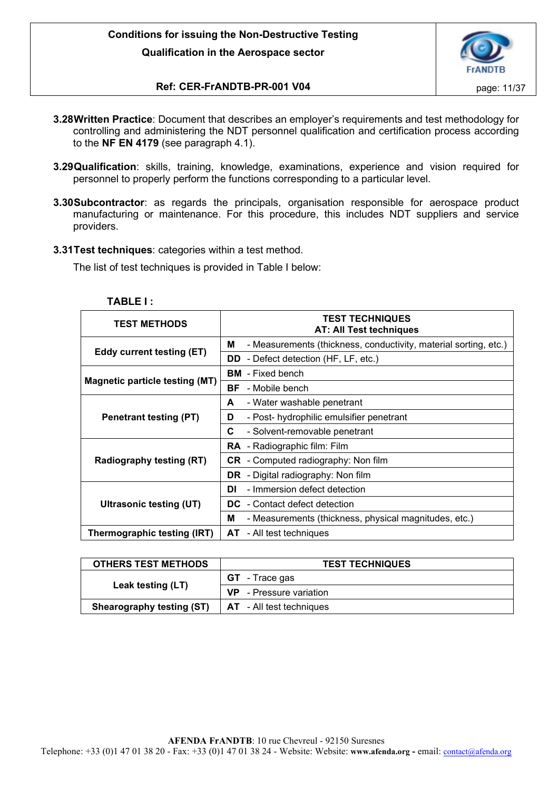

# **Ref: CER-FrANDTB-PR-001 V04** page: 11/37

- **3.28Written Practice**: Document that describes an employer's requirements and test methodology for controlling and administering the NDT personnel qualification and certification process according to the **NF EN 4179** (see paragraph 4.1).
- **3.29Qualification**: skills, training, knowledge, examinations, experience and vision required for personnel to properly perform the functions corresponding to a particular level.
- **3.30Subcontractor**: as regards the principals, organisation responsible for aerospace product manufacturing or maintenance. For this procedure, this includes NDT suppliers and service providers.
- **3.31Test techniques**: categories within a test method.

The list of test techniques is provided in Table I below:

| <b>TEST METHODS</b>                   | <b>TEST TECHNIQUES</b><br><b>AT: All Test techniques</b>              |
|---------------------------------------|-----------------------------------------------------------------------|
|                                       | - Measurements (thickness, conductivity, material sorting, etc.)<br>М |
| Eddy current testing (ET)             | - Defect detection (HF, LF, etc.)<br>DD.                              |
|                                       | - Fixed bench<br>BM                                                   |
| <b>Magnetic particle testing (MT)</b> | BF<br>- Mobile bench                                                  |
|                                       | - Water washable penetrant<br>A                                       |
| Penetrant testing (PT)                | - Post- hydrophilic emulsifier penetrant<br>D                         |
|                                       | C<br>- Solvent-removable penetrant                                    |
|                                       | <b>RA</b> - Radiographic film: Film                                   |
| <b>Radiography testing (RT)</b>       | <b>CR</b> - Computed radiography: Non film                            |
|                                       | <b>DR</b> - Digital radiography: Non film                             |
|                                       | DI<br>- Immersion defect detection                                    |
| Ultrasonic testing (UT)               | <b>DC</b> - Contact defect detection                                  |
|                                       | - Measurements (thickness, physical magnitudes, etc.)<br>м            |
| Thermographic testing (IRT)           | <b>AT</b> - All test techniques                                       |

| ופ<br>                         |  |
|--------------------------------|--|
| ۱۱<br>$\overline{\phantom{a}}$ |  |
|                                |  |

| <b>OTHERS TEST METHODS</b>       | <b>TEST TECHNIQUES</b>          |  |  |
|----------------------------------|---------------------------------|--|--|
|                                  | <b>GT</b> - Trace gas           |  |  |
| Leak testing (LT)                | <b>VP</b> - Pressure variation  |  |  |
| <b>Shearography testing (ST)</b> | <b>AT</b> - All test techniques |  |  |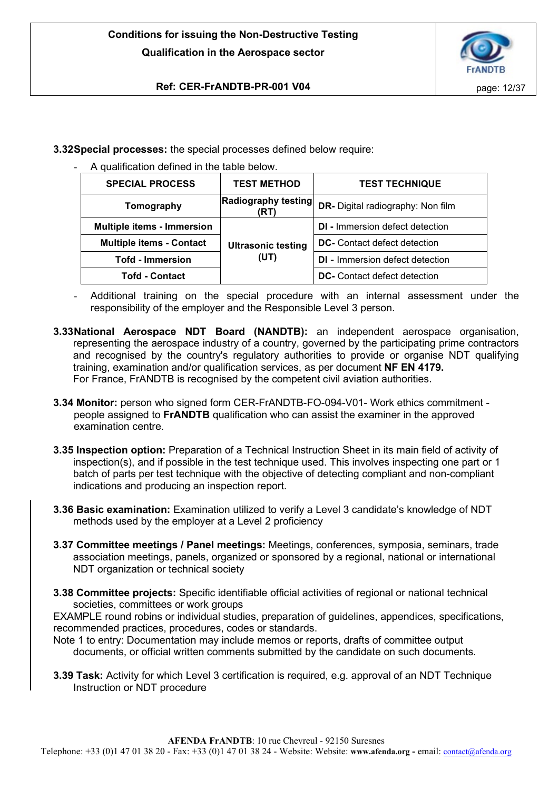

# **Ref: CER-FrANDTB-PR-001 V04 page: 12/37**

**3.32Special processes:** the special processes defined below require:

A qualification defined in the table below.

| <b>SPECIAL PROCESS</b>            | <b>TEST METHOD</b>                | <b>TEST TECHNIQUE</b>                    |
|-----------------------------------|-----------------------------------|------------------------------------------|
| Tomography                        | Radiography testing<br>(RT)       | <b>DR-</b> Digital radiography: Non film |
| <b>Multiple items - Immersion</b> | <b>Ultrasonic testing</b><br>(UT) | <b>DI</b> - Immersion defect detection   |
| <b>Multiple items - Contact</b>   |                                   | <b>DC-</b> Contact defect detection      |
| <b>Tofd - Immersion</b>           |                                   | <b>DI</b> - Immersion defect detection   |
| <b>Tofd - Contact</b>             |                                   | <b>DC-</b> Contact defect detection      |

- Additional training on the special procedure with an internal assessment under the responsibility of the employer and the Responsible Level 3 person.
- **3.33National Aerospace NDT Board (NANDTB):** an independent aerospace organisation, representing the aerospace industry of a country, governed by the participating prime contractors and recognised by the country's regulatory authorities to provide or organise NDT qualifying training, examination and/or qualification services, as per document **NF EN 4179.** For France, FrANDTB is recognised by the competent civil aviation authorities.
- **3.34 Monitor:** person who signed form CER-FrANDTB-FO-094-V01- Work ethics commitment people assigned to **FrANDTB** qualification who can assist the examiner in the approved examination centre.
- **3.35 Inspection option:** Preparation of a Technical Instruction Sheet in its main field of activity of inspection(s), and if possible in the test technique used. This involves inspecting one part or 1 batch of parts per test technique with the objective of detecting compliant and non-compliant indications and producing an inspection report.
- **3.36 Basic examination:** Examination utilized to verify a Level 3 candidate's knowledge of NDT methods used by the employer at a Level 2 proficiency
- **3.37 Committee meetings / Panel meetings:** Meetings, conferences, symposia, seminars, trade association meetings, panels, organized or sponsored by a regional, national or international NDT organization or technical society
- **3.38 Committee projects:** Specific identifiable official activities of regional or national technical societies, committees or work groups

EXAMPLE round robins or individual studies, preparation of guidelines, appendices, specifications, recommended practices, procedures, codes or standards.

Note 1 to entry: Documentation may include memos or reports, drafts of committee output documents, or official written comments submitted by the candidate on such documents.

**3.39 Task:** Activity for which Level 3 certification is required, e.g. approval of an NDT Technique Instruction or NDT procedure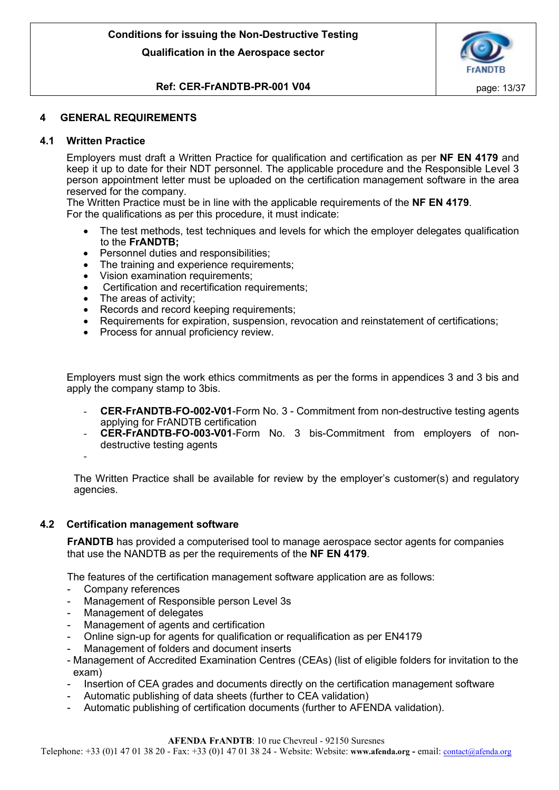

# **Ref: CER-FrANDTB-PR-001 V04 page: 13/37**

# <span id="page-12-0"></span>**4 GENERAL REQUIREMENTS**

# <span id="page-12-1"></span>**4.1 Written Practice**

Employers must draft a Written Practice for qualification and certification as per **NF EN 4179** and keep it up to date for their NDT personnel. The applicable procedure and the Responsible Level 3 person appointment letter must be uploaded on the certification management software in the area reserved for the company.

The Written Practice must be in line with the applicable requirements of the **NF EN 4179**. For the qualifications as per this procedure, it must indicate:

- The test methods, test techniques and levels for which the employer delegates qualification to the **FrANDTB;**
- Personnel duties and responsibilities;
- The training and experience requirements:
- Vision examination requirements:
- Certification and recertification requirements;
- The areas of activity:
- Records and record keeping requirements:
- Requirements for expiration, suspension, revocation and reinstatement of certifications;
- Process for annual proficiency review.

Employers must sign the work ethics commitments as per the forms in appendices 3 and 3 bis and apply the company stamp to 3bis.

- **CER-FrANDTB-FO-002-V01**-Form No. 3 Commitment from non-destructive testing agents applying for FrANDTB certification
- **CER-FrANDTB-FO-003-V01**-Form No. 3 bis-Commitment from employers of nondestructive testing agents
- -

The Written Practice shall be available for review by the employer's customer(s) and regulatory agencies.

## <span id="page-12-2"></span>**4.2 Certification management software**

**FrANDTB** has provided a computerised tool to manage aerospace sector agents for companies that use the NANDTB as per the requirements of the **NF EN 4179**.

The features of the certification management software application are as follows:

- Company references
- Management of Responsible person Level 3s
- Management of delegates
- Management of agents and certification
- Online sign-up for agents for qualification or requalification as per EN4179
- Management of folders and document inserts
- Management of Accredited Examination Centres (CEAs) (list of eligible folders for invitation to the exam)
- Insertion of CEA grades and documents directly on the certification management software
- Automatic publishing of data sheets (further to CEA validation)
- Automatic publishing of certification documents (further to AFENDA validation).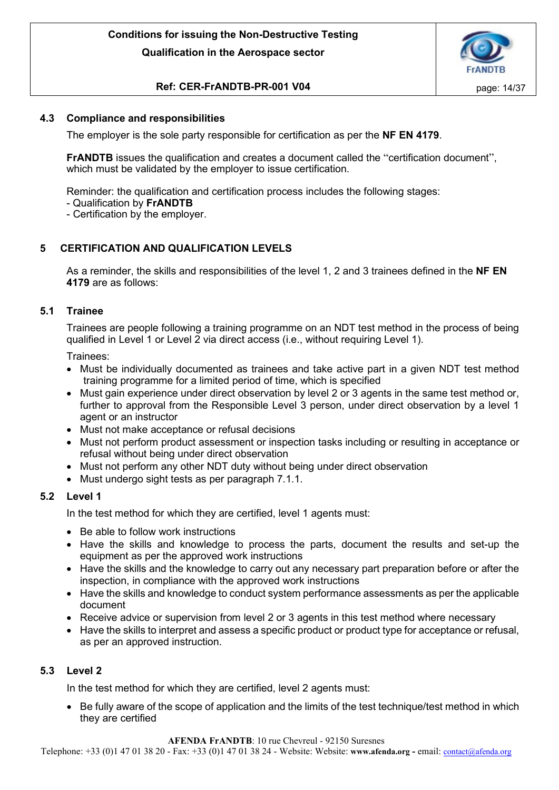

# **Ref: CER-FrANDTB-PR-001 V04 page: 14/37**

# <span id="page-13-0"></span>**4.3 Compliance and responsibilities**

The employer is the sole party responsible for certification as per the **NF EN 4179**.

**FrANDTB** issues the qualification and creates a document called the "certification document", which must be validated by the employer to issue certification.

Reminder: the qualification and certification process includes the following stages:

- Qualification by **FrANDTB**
- Certification by the employer.

# <span id="page-13-1"></span>**5 CERTIFICATION AND QUALIFICATION LEVELS**

As a reminder, the skills and responsibilities of the level 1, 2 and 3 trainees defined in the **NF EN 4179** are as follows:

# <span id="page-13-2"></span>**5.1 Trainee**

Trainees are people following a training programme on an NDT test method in the process of being qualified in Level 1 or Level 2 via direct access (i.e., without requiring Level 1).

Trainees:

- Must be individually documented as trainees and take active part in a given NDT test method training programme for a limited period of time, which is specified
- Must gain experience under direct observation by level 2 or 3 agents in the same test method or, further to approval from the Responsible Level 3 person, under direct observation by a level 1 agent or an instructor
- Must not make acceptance or refusal decisions
- Must not perform product assessment or inspection tasks including or resulting in acceptance or refusal without being under direct observation
- Must not perform any other NDT duty without being under direct observation
- Must undergo sight tests as per paragraph 7.1.1.

## <span id="page-13-3"></span>**5.2 Level 1**

In the test method for which they are certified, level 1 agents must:

- Be able to follow work instructions
- Have the skills and knowledge to process the parts, document the results and set-up the equipment as per the approved work instructions
- Have the skills and the knowledge to carry out any necessary part preparation before or after the inspection, in compliance with the approved work instructions
- Have the skills and knowledge to conduct system performance assessments as per the applicable document
- Receive advice or supervision from level 2 or 3 agents in this test method where necessary
- Have the skills to interpret and assess a specific product or product type for acceptance or refusal, as per an approved instruction.

# <span id="page-13-4"></span>**5.3 Level 2**

In the test method for which they are certified, level 2 agents must:

• Be fully aware of the scope of application and the limits of the test technique/test method in which they are certified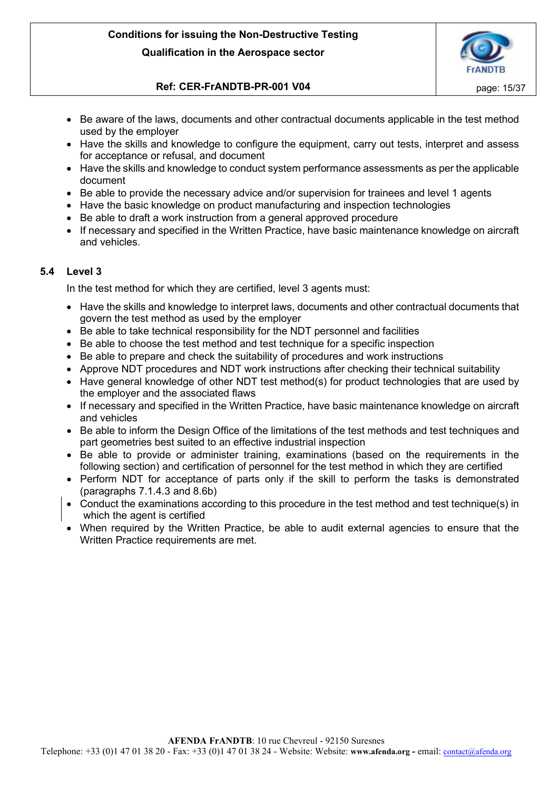

# **Ref: CER-FrANDTB-PR-001 V04 page: 15/37**

- Be aware of the laws, documents and other contractual documents applicable in the test method used by the employer
- Have the skills and knowledge to configure the equipment, carry out tests, interpret and assess for acceptance or refusal, and document
- Have the skills and knowledge to conduct system performance assessments as per the applicable document
- Be able to provide the necessary advice and/or supervision for trainees and level 1 agents
- Have the basic knowledge on product manufacturing and inspection technologies
- Be able to draft a work instruction from a general approved procedure
- If necessary and specified in the Written Practice, have basic maintenance knowledge on aircraft and vehicles.

# <span id="page-14-0"></span>**5.4 Level 3**

In the test method for which they are certified, level 3 agents must:

- Have the skills and knowledge to interpret laws, documents and other contractual documents that govern the test method as used by the employer
- Be able to take technical responsibility for the NDT personnel and facilities
- Be able to choose the test method and test technique for a specific inspection
- Be able to prepare and check the suitability of procedures and work instructions
- Approve NDT procedures and NDT work instructions after checking their technical suitability
- Have general knowledge of other NDT test method(s) for product technologies that are used by the employer and the associated flaws
- If necessary and specified in the Written Practice, have basic maintenance knowledge on aircraft and vehicles
- Be able to inform the Design Office of the limitations of the test methods and test techniques and part geometries best suited to an effective industrial inspection
- Be able to provide or administer training, examinations (based on the requirements in the following section) and certification of personnel for the test method in which they are certified
- Perform NDT for acceptance of parts only if the skill to perform the tasks is demonstrated (paragraphs 7.1.4.3 and 8.6b)
- Conduct the examinations according to this procedure in the test method and test technique(s) in which the agent is certified
- When required by the Written Practice, be able to audit external agencies to ensure that the Written Practice requirements are met.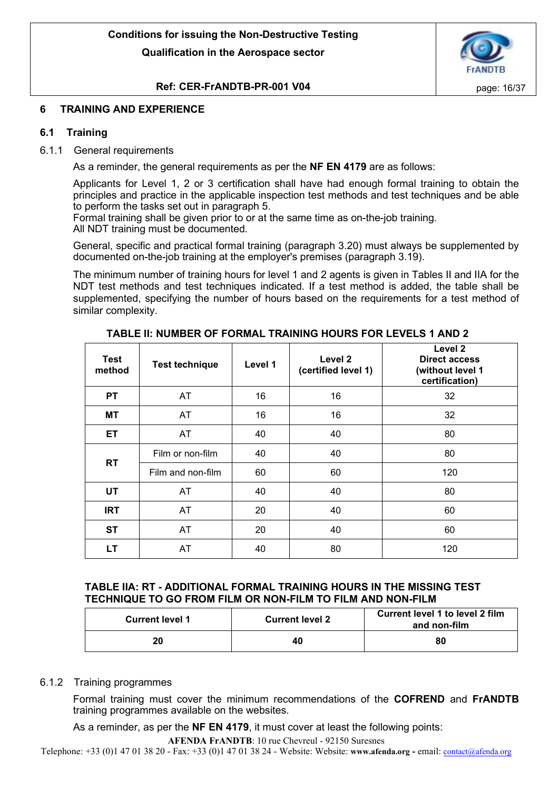

# **Ref: CER-FrANDTB-PR-001 V04 page: 16/37**

# <span id="page-15-0"></span>**6 TRAINING AND EXPERIENCE**

# <span id="page-15-1"></span>**6.1 Training**

# <span id="page-15-2"></span>6.1.1 General requirements

As a reminder, the general requirements as per the **NF EN 4179** are as follows:

Applicants for Level 1, 2 or 3 certification shall have had enough formal training to obtain the principles and practice in the applicable inspection test methods and test techniques and be able to perform the tasks set out in paragraph 5.

Formal training shall be given prior to or at the same time as on-the-job training. All NDT training must be documented.

General, specific and practical formal training (paragraph 3.20) must always be supplemented by documented on-the-job training at the employer's premises (paragraph 3.19).

The minimum number of training hours for level 1 and 2 agents is given in Tables II and IIA for the NDT test methods and test techniques indicated. If a test method is added, the table shall be supplemented, specifying the number of hours based on the requirements for a test method of similar complexity.

| <b>Test</b><br>method | <b>Test technique</b> | Level 1 | Level 2<br>(certified level 1) | Level 2<br><b>Direct access</b><br>(without level 1<br>certification) |
|-----------------------|-----------------------|---------|--------------------------------|-----------------------------------------------------------------------|
| <b>PT</b>             | AT                    | 16      | 16                             | 32                                                                    |
| MT                    | AT                    | 16      | 16                             | 32                                                                    |
| <b>ET</b>             | AT                    | 40      | 40                             | 80                                                                    |
|                       | Film or non-film      | 40      | 40                             | 80                                                                    |
| <b>RT</b>             | Film and non-film     | 60      | 60                             | 120                                                                   |
| <b>UT</b>             | AT                    | 40      | 40                             | 80                                                                    |
| <b>IRT</b>            | AT                    | 20      | 40                             | 60                                                                    |
| <b>ST</b>             | AT                    | 20      | 40                             | 60                                                                    |
| LT.                   | AT                    | 40      | 80                             | 120                                                                   |

**TABLE II: NUMBER OF FORMAL TRAINING HOURS FOR LEVELS 1 AND 2**

# **TABLE IIA: RT - ADDITIONAL FORMAL TRAINING HOURS IN THE MISSING TEST TECHNIQUE TO GO FROM FILM OR NON-FILM TO FILM AND NON-FILM**

| <b>Current level 1</b> | <b>Current level 2</b> | <b>Current level 1 to level 2 film</b><br>and non-film |
|------------------------|------------------------|--------------------------------------------------------|
| 20                     | 40                     | 80                                                     |

## <span id="page-15-3"></span>6.1.2 Training programmes

Formal training must cover the minimum recommendations of the **COFREND** and **FrANDTB**  training programmes available on the websites.

As a reminder, as per the **NF EN 4179**, it must cover at least the following points:

**AFENDA FrANDTB**: 10 rue Chevreul - 92150 Suresnes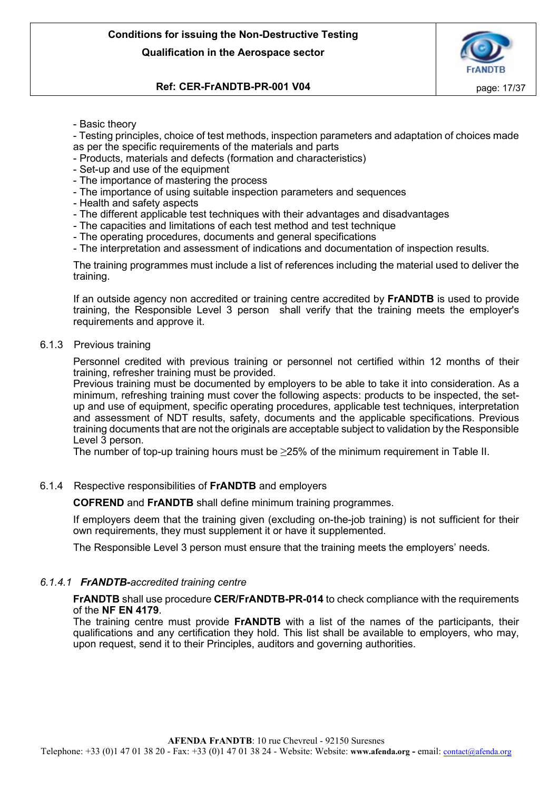

# **Ref: CER-FrANDTB-PR-001 V04 page: 17/37**

- Basic theory

- Testing principles, choice of test methods, inspection parameters and adaptation of choices made as per the specific requirements of the materials and parts

- Products, materials and defects (formation and characteristics)
- Set-up and use of the equipment
- The importance of mastering the process
- The importance of using suitable inspection parameters and sequences
- Health and safety aspects
- The different applicable test techniques with their advantages and disadvantages
- The capacities and limitations of each test method and test technique
- The operating procedures, documents and general specifications

- The interpretation and assessment of indications and documentation of inspection results.

The training programmes must include a list of references including the material used to deliver the training.

If an outside agency non accredited or training centre accredited by **FrANDTB** is used to provide training, the Responsible Level 3 person shall verify that the training meets the employer's requirements and approve it.

## <span id="page-16-0"></span>6.1.3 Previous training

Personnel credited with previous training or personnel not certified within 12 months of their training, refresher training must be provided.

Previous training must be documented by employers to be able to take it into consideration. As a minimum, refreshing training must cover the following aspects: products to be inspected, the setup and use of equipment, specific operating procedures, applicable test techniques, interpretation and assessment of NDT results, safety, documents and the applicable specifications. Previous training documents that are not the originals are acceptable subject to validation by the Responsible Level 3 person.

The number of top-up training hours must be ≥25% of the minimum requirement in Table II.

# <span id="page-16-1"></span>6.1.4 Respective responsibilities of **FrANDTB** and employers

**COFREND** and **FrANDTB** shall define minimum training programmes.

If employers deem that the training given (excluding on-the-job training) is not sufficient for their own requirements, they must supplement it or have it supplemented.

The Responsible Level 3 person must ensure that the training meets the employers' needs.

# <span id="page-16-2"></span>*6.1.4.1 FrANDTB-accredited training centre*

**FrANDTB** shall use procedure **CER/FrANDTB-PR-014** to check compliance with the requirements of the **NF EN 4179**.

The training centre must provide **FrANDTB** with a list of the names of the participants, their qualifications and any certification they hold. This list shall be available to employers, who may, upon request, send it to their Principles, auditors and governing authorities.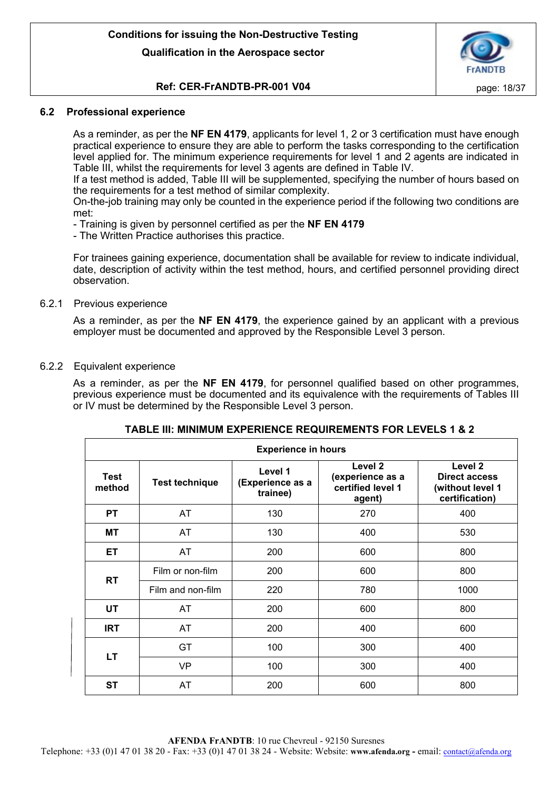

# **Ref: CER-FrANDTB-PR-001 V04 page: 18/37**

## <span id="page-17-0"></span>**6.2 Professional experience**

As a reminder, as per the **NF EN 4179**, applicants for level 1, 2 or 3 certification must have enough practical experience to ensure they are able to perform the tasks corresponding to the certification level applied for. The minimum experience requirements for level 1 and 2 agents are indicated in Table III, whilst the requirements for level 3 agents are defined in Table IV.

If a test method is added, Table III will be supplemented, specifying the number of hours based on the requirements for a test method of similar complexity.

On-the-job training may only be counted in the experience period if the following two conditions are met:

- Training is given by personnel certified as per the **NF EN 4179**

- The Written Practice authorises this practice.

For trainees gaining experience, documentation shall be available for review to indicate individual, date, description of activity within the test method, hours, and certified personnel providing direct observation.

## <span id="page-17-1"></span>6.2.1 Previous experience

As a reminder, as per the **NF EN 4179**, the experience gained by an applicant with a previous employer must be documented and approved by the Responsible Level 3 person.

## <span id="page-17-2"></span>6.2.2 Equivalent experience

As a reminder, as per the **NF EN 4179**, for personnel qualified based on other programmes, previous experience must be documented and its equivalence with the requirements of Tables III or IV must be determined by the Responsible Level 3 person.

| <b>Experience in hours</b> |                                                                  |     |                                                                       |                                                                       |  |
|----------------------------|------------------------------------------------------------------|-----|-----------------------------------------------------------------------|-----------------------------------------------------------------------|--|
| Test<br>method             | Level 1<br><b>Test technique</b><br>(Experience as a<br>trainee) |     | Level <sub>2</sub><br>(experience as a<br>certified level 1<br>agent) | Level 2<br><b>Direct access</b><br>(without level 1<br>certification) |  |
| <b>PT</b>                  | <b>AT</b>                                                        | 130 | 270                                                                   | 400                                                                   |  |
| <b>MT</b>                  | AT                                                               | 130 | 400                                                                   | 530                                                                   |  |
| <b>ET</b>                  | AT                                                               | 200 | 600                                                                   | 800                                                                   |  |
|                            | Film or non-film                                                 | 200 | 600                                                                   | 800                                                                   |  |
| <b>RT</b>                  | Film and non-film                                                | 220 | 780                                                                   | 1000                                                                  |  |
| <b>UT</b>                  | AT                                                               | 200 | 600                                                                   | 800                                                                   |  |
| <b>IRT</b>                 | AT                                                               | 200 | 400                                                                   | 600                                                                   |  |
|                            | GT                                                               | 100 | 300                                                                   | 400                                                                   |  |
| LT.                        | <b>VP</b>                                                        | 100 | 300                                                                   | 400                                                                   |  |
| <b>ST</b>                  | AT                                                               | 200 | 600                                                                   | 800                                                                   |  |

## **TABLE III: MINIMUM EXPERIENCE REQUIREMENTS FOR LEVELS 1 & 2**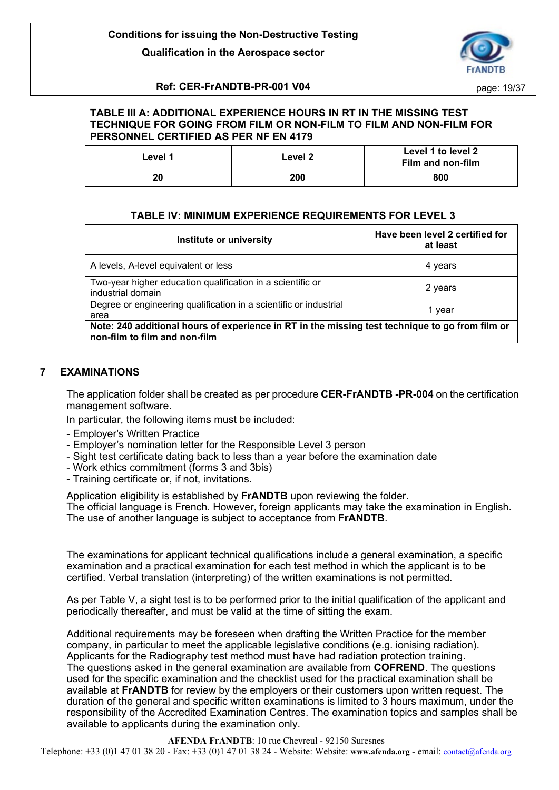

# **Ref: CER-FrANDTB-PR-001 V04 page: 19/37**

# **TABLE III A: ADDITIONAL EXPERIENCE HOURS IN RT IN THE MISSING TEST TECHNIQUE FOR GOING FROM FILM OR NON-FILM TO FILM AND NON-FILM FOR PERSONNEL CERTIFIED AS PER NF EN 4179**

| Level 1 | Level 2 | Level 1 to level 2<br>Film and non-film |
|---------|---------|-----------------------------------------|
| 20      | 200     | 800                                     |

# **TABLE IV: MINIMUM EXPERIENCE REQUIREMENTS FOR LEVEL 3**

| Institute or university                                                                                                          | Have been level 2 certified for<br>at least |  |
|----------------------------------------------------------------------------------------------------------------------------------|---------------------------------------------|--|
| A levels, A-level equivalent or less                                                                                             | 4 years                                     |  |
| Two-year higher education qualification in a scientific or<br>industrial domain                                                  | 2 years                                     |  |
| Degree or engineering qualification in a scientific or industrial<br>area                                                        | 1 year                                      |  |
| Note: 240 additional hours of experience in RT in the missing test technique to go from film or<br>non-film to film and non-film |                                             |  |

# <span id="page-18-0"></span>**7 EXAMINATIONS**

The application folder shall be created as per procedure **CER-FrANDTB -PR-004** on the certification management software.

In particular, the following items must be included:

- Employer's Written Practice
- Employer's nomination letter for the Responsible Level 3 person
- Sight test certificate dating back to less than a year before the examination date
- Work ethics commitment (forms 3 and 3bis)
- Training certificate or, if not, invitations.

Application eligibility is established by **FrANDTB** upon reviewing the folder.

The official language is French. However, foreign applicants may take the examination in English. The use of another language is subject to acceptance from **FrANDTB**.

The examinations for applicant technical qualifications include a general examination, a specific examination and a practical examination for each test method in which the applicant is to be certified. Verbal translation (interpreting) of the written examinations is not permitted.

As per Table V, a sight test is to be performed prior to the initial qualification of the applicant and periodically thereafter, and must be valid at the time of sitting the exam.

Additional requirements may be foreseen when drafting the Written Practice for the member company, in particular to meet the applicable legislative conditions (e.g. ionising radiation). Applicants for the Radiography test method must have had radiation protection training. The questions asked in the general examination are available from **COFREND**. The questions used for the specific examination and the checklist used for the practical examination shall be available at **FrANDTB** for review by the employers or their customers upon written request. The duration of the general and specific written examinations is limited to 3 hours maximum, under the responsibility of the Accredited Examination Centres. The examination topics and samples shall be available to applicants during the examination only.

# **AFENDA FrANDTB**: 10 rue Chevreul - 92150 Suresnes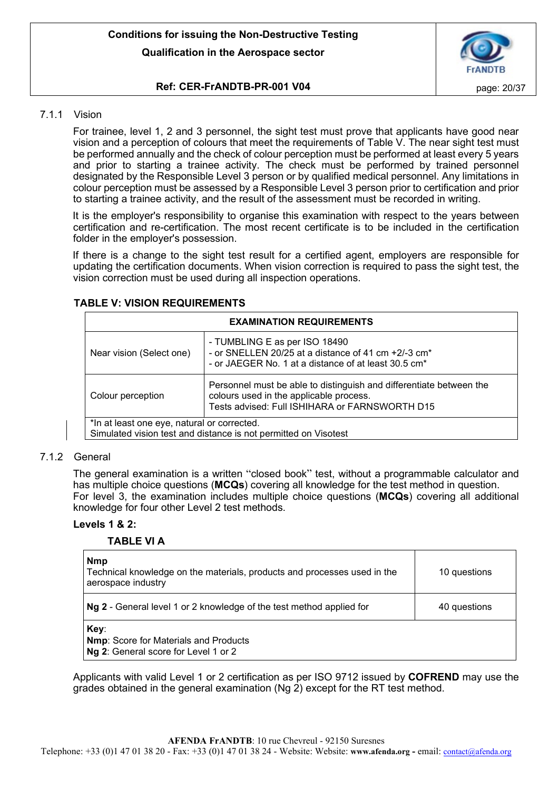

# **Ref: CER-FrANDTB-PR-001 V04 page: 20/37**

# <span id="page-19-0"></span>7.1.1 Vision

For trainee, level 1, 2 and 3 personnel, the sight test must prove that applicants have good near vision and a perception of colours that meet the requirements of Table V. The near sight test must be performed annually and the check of colour perception must be performed at least every 5 years and prior to starting a trainee activity. The check must be performed by trained personnel designated by the Responsible Level 3 person or by qualified medical personnel. Any limitations in colour perception must be assessed by a Responsible Level 3 person prior to certification and prior to starting a trainee activity, and the result of the assessment must be recorded in writing.

It is the employer's responsibility to organise this examination with respect to the years between certification and re-certification. The most recent certificate is to be included in the certification folder in the employer's possession.

If there is a change to the sight test result for a certified agent, employers are responsible for updating the certification documents. When vision correction is required to pass the sight test, the vision correction must be used during all inspection operations.

| <b>EXAMINATION REQUIREMENTS</b>                                                                                |                                                                                                                                                                      |  |
|----------------------------------------------------------------------------------------------------------------|----------------------------------------------------------------------------------------------------------------------------------------------------------------------|--|
| Near vision (Select one)                                                                                       | - TUMBLING E as per ISO 18490<br>- or SNELLEN 20/25 at a distance of 41 cm +2/-3 cm <sup>*</sup><br>- or JAEGER No. 1 at a distance of at least 30.5 cm <sup>*</sup> |  |
| Colour perception                                                                                              | Personnel must be able to distinguish and differentiate between the<br>colours used in the applicable process.<br>Tests advised: Full ISHIHARA or FARNSWORTH D15     |  |
| *In at least one eye, natural or corrected.<br>Simulated vision test and distance is not permitted on Visotest |                                                                                                                                                                      |  |

#### **TABLE V: VISION REQUIREMENTS**

## <span id="page-19-1"></span>7.1.2 General

The general examination is a written "closed book" test, without a programmable calculator and has multiple choice questions (**MCQs**) covering all knowledge for the test method in question. For level 3, the examination includes multiple choice questions (**MCQs**) covering all additional knowledge for four other Level 2 test methods.

## **Levels 1 & 2:**

## **TABLE VI A**

| <b>Nmp</b><br>Technical knowledge on the materials, products and processes used in the<br>aerospace industry | 10 questions |
|--------------------------------------------------------------------------------------------------------------|--------------|
| Ng 2 - General level 1 or 2 knowledge of the test method applied for                                         | 40 questions |
| Key:<br><b>Nmp:</b> Score for Materials and Products<br>Ng 2: General score for Level 1 or 2                 |              |

Applicants with valid Level 1 or 2 certification as per ISO 9712 issued by **COFREND** may use the grades obtained in the general examination (Ng 2) except for the RT test method.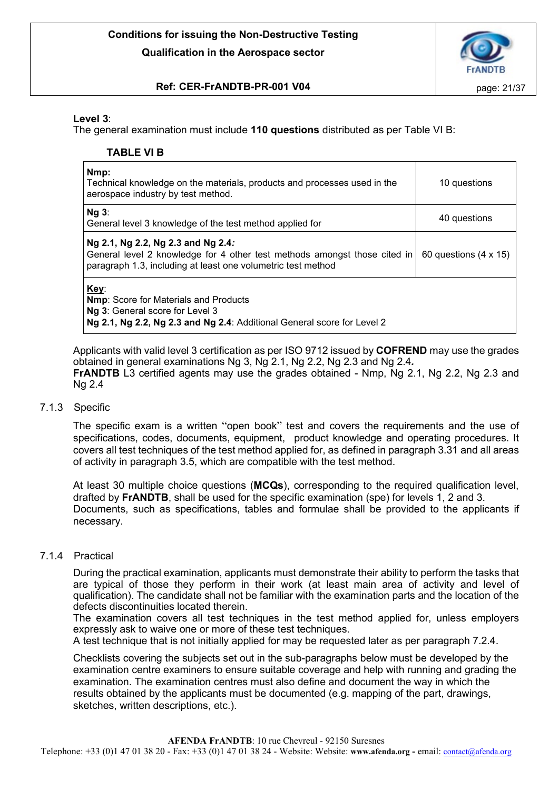

# **Ref: CER-FrANDTB-PR-001 V04 page: 21/37**

# **Level 3**:

The general examination must include **110 questions** distributed as per Table VI B:

# **TABLE VI B**

| Nmp:<br>Technical knowledge on the materials, products and processes used in the<br>aerospace industry by test method.                                                          | 10 questions                 |
|---------------------------------------------------------------------------------------------------------------------------------------------------------------------------------|------------------------------|
| $Nq$ 3:<br>General level 3 knowledge of the test method applied for                                                                                                             | 40 questions                 |
| Ng 2.1, Ng 2.2, Ng 2.3 and Ng 2.4:<br>General level 2 knowledge for 4 other test methods amongst those cited in<br>paragraph 1.3, including at least one volumetric test method | 60 questions $(4 \times 15)$ |
| Key:<br><b>Nmp:</b> Score for Materials and Products<br>Ng 3: General score for Level 3<br>Ng 2.1, Ng 2.2, Ng 2.3 and Ng 2.4: Additional General score for Level 2              |                              |

Applicants with valid level 3 certification as per ISO 9712 issued by **COFREND** may use the grades obtained in general examinations Ng 3, Ng 2.1, Ng 2.2, Ng 2.3 and Ng 2.4*.* **FrANDTB** L3 certified agents may use the grades obtained - Nmp, Ng 2.1, Ng 2.2, Ng 2.3 and Ng 2.4

## <span id="page-20-0"></span>7.1.3 Specific

The specific exam is a written "open book" test and covers the requirements and the use of specifications, codes, documents, equipment, product knowledge and operating procedures. It covers all test techniques of the test method applied for, as defined in paragraph 3.31 and all areas of activity in paragraph 3.5, which are compatible with the test method.

At least 30 multiple choice questions (**MCQs**), corresponding to the required qualification level, drafted by **FrANDTB**, shall be used for the specific examination (spe) for levels 1, 2 and 3. Documents, such as specifications, tables and formulae shall be provided to the applicants if necessary.

## <span id="page-20-1"></span>7.1.4 Practical

During the practical examination, applicants must demonstrate their ability to perform the tasks that are typical of those they perform in their work (at least main area of activity and level of qualification). The candidate shall not be familiar with the examination parts and the location of the defects discontinuities located therein.

The examination covers all test techniques in the test method applied for, unless employers expressly ask to waive one or more of these test techniques.

A test technique that is not initially applied for may be requested later as per paragraph 7.2.4.

Checklists covering the subjects set out in the sub-paragraphs below must be developed by the examination centre examiners to ensure suitable coverage and help with running and grading the examination. The examination centres must also define and document the way in which the results obtained by the applicants must be documented (e.g. mapping of the part, drawings, sketches, written descriptions, etc.).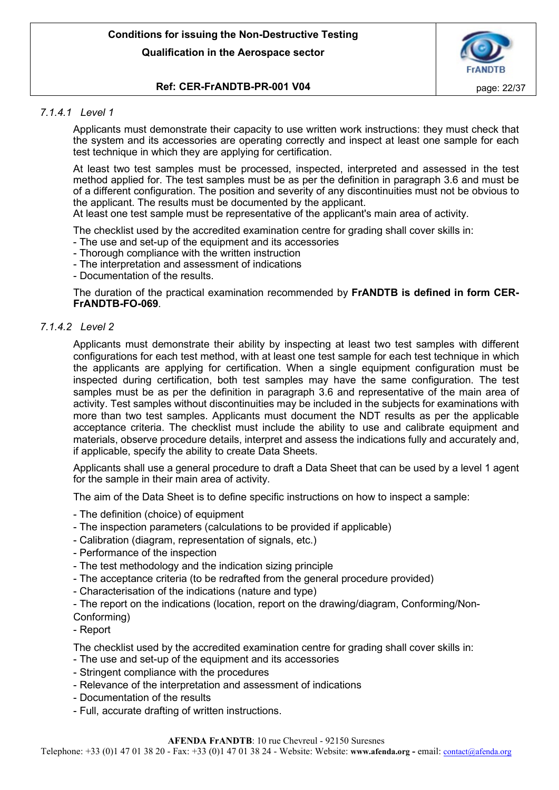

# **Ref: CER-FrANDTB-PR-001 V04 page: 22/37**

# <span id="page-21-0"></span>*7.1.4.1 Level 1*

Applicants must demonstrate their capacity to use written work instructions: they must check that the system and its accessories are operating correctly and inspect at least one sample for each test technique in which they are applying for certification.

At least two test samples must be processed, inspected, interpreted and assessed in the test method applied for. The test samples must be as per the definition in paragraph 3.6 and must be of a different configuration. The position and severity of any discontinuities must not be obvious to the applicant. The results must be documented by the applicant.

At least one test sample must be representative of the applicant's main area of activity.

The checklist used by the accredited examination centre for grading shall cover skills in:

- The use and set-up of the equipment and its accessories
- Thorough compliance with the written instruction
- The interpretation and assessment of indications
- Documentation of the results.

The duration of the practical examination recommended by **FrANDTB is defined in form CER-FrANDTB-FO-069**.

# <span id="page-21-1"></span>*7.1.4.2 Level 2*

Applicants must demonstrate their ability by inspecting at least two test samples with different configurations for each test method, with at least one test sample for each test technique in which the applicants are applying for certification. When a single equipment configuration must be inspected during certification, both test samples may have the same configuration. The test samples must be as per the definition in paragraph 3.6 and representative of the main area of activity. Test samples without discontinuities may be included in the subjects for examinations with more than two test samples. Applicants must document the NDT results as per the applicable acceptance criteria. The checklist must include the ability to use and calibrate equipment and materials, observe procedure details, interpret and assess the indications fully and accurately and, if applicable, specify the ability to create Data Sheets.

Applicants shall use a general procedure to draft a Data Sheet that can be used by a level 1 agent for the sample in their main area of activity.

The aim of the Data Sheet is to define specific instructions on how to inspect a sample:

- The definition (choice) of equipment
- The inspection parameters (calculations to be provided if applicable)
- Calibration (diagram, representation of signals, etc.)
- Performance of the inspection
- The test methodology and the indication sizing principle
- The acceptance criteria (to be redrafted from the general procedure provided)
- Characterisation of the indications (nature and type)
- The report on the indications (location, report on the drawing/diagram, Conforming/Non-Conforming)
- Report

The checklist used by the accredited examination centre for grading shall cover skills in:

- The use and set-up of the equipment and its accessories
- Stringent compliance with the procedures
- Relevance of the interpretation and assessment of indications
- Documentation of the results
- Full, accurate drafting of written instructions.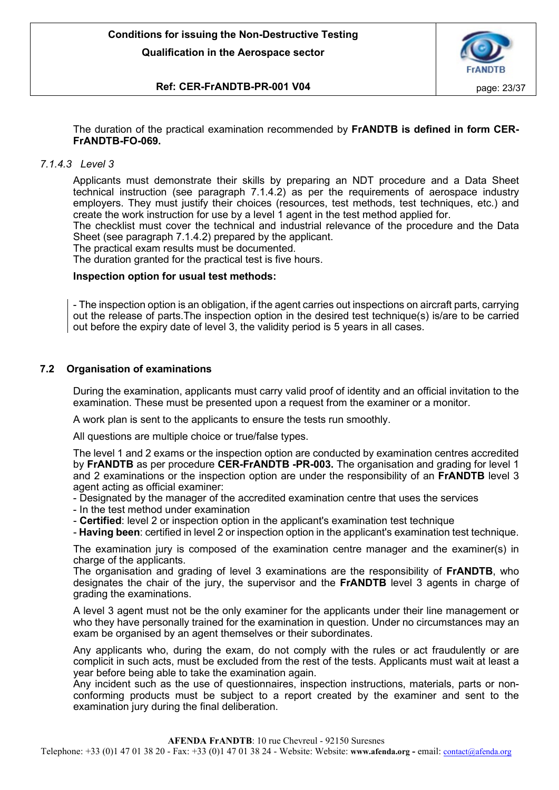

# **Ref: CER-FrANDTB-PR-001 V04 page: 23/37**

The duration of the practical examination recommended by **FrANDTB is defined in form CER-FrANDTB-FO-069.**

# <span id="page-22-0"></span>*7.1.4.3 Level 3*

Applicants must demonstrate their skills by preparing an NDT procedure and a Data Sheet technical instruction (see paragraph 7.1.4.2) as per the requirements of aerospace industry employers. They must justify their choices (resources, test methods, test techniques, etc.) and create the work instruction for use by a level 1 agent in the test method applied for.

The checklist must cover the technical and industrial relevance of the procedure and the Data Sheet (see paragraph 7.1.4.2) prepared by the applicant.

The practical exam results must be documented.

The duration granted for the practical test is five hours.

## **Inspection option for usual test methods:**

- The inspection option is an obligation, if the agent carries out inspections on aircraft parts, carrying out the release of parts.The inspection option in the desired test technique(s) is/are to be carried out before the expiry date of level 3, the validity period is 5 years in all cases.

# <span id="page-22-1"></span>**7.2 Organisation of examinations**

During the examination, applicants must carry valid proof of identity and an official invitation to the examination. These must be presented upon a request from the examiner or a monitor.

A work plan is sent to the applicants to ensure the tests run smoothly.

All questions are multiple choice or true/false types.

The level 1 and 2 exams or the inspection option are conducted by examination centres accredited by **FrANDTB** as per procedure **CER-FrANDTB -PR-003.** The organisation and grading for level 1 and 2 examinations or the inspection option are under the responsibility of an **FrANDTB** level 3 agent acting as official examiner:

- Designated by the manager of the accredited examination centre that uses the services

- In the test method under examination
- **Certified**: level 2 or inspection option in the applicant's examination test technique

- **Having been**: certified in level 2 or inspection option in the applicant's examination test technique.

The examination jury is composed of the examination centre manager and the examiner(s) in charge of the applicants.

The organisation and grading of level 3 examinations are the responsibility of **FrANDTB**, who designates the chair of the jury, the supervisor and the **FrANDTB** level 3 agents in charge of grading the examinations.

A level 3 agent must not be the only examiner for the applicants under their line management or who they have personally trained for the examination in question. Under no circumstances may an exam be organised by an agent themselves or their subordinates.

Any applicants who, during the exam, do not comply with the rules or act fraudulently or are complicit in such acts, must be excluded from the rest of the tests. Applicants must wait at least a year before being able to take the examination again.

Any incident such as the use of questionnaires, inspection instructions, materials, parts or nonconforming products must be subject to a report created by the examiner and sent to the examination jury during the final deliberation.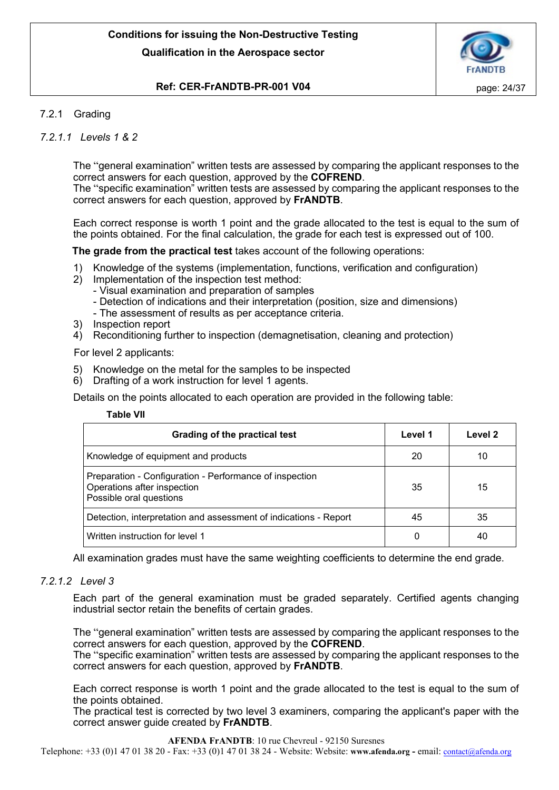

# **Ref: CER-FrANDTB-PR-001 V04 page: 24/37**

# <span id="page-23-0"></span>7.2.1 Grading

# <span id="page-23-1"></span>*7.2.1.1 Levels 1 & 2*

The "general examination" written tests are assessed by comparing the applicant responses to the correct answers for each question, approved by the **COFREND**.

The "specific examination" written tests are assessed by comparing the applicant responses to the correct answers for each question, approved by **FrANDTB**.

Each correct response is worth 1 point and the grade allocated to the test is equal to the sum of the points obtained. For the final calculation, the grade for each test is expressed out of 100.

**The grade from the practical test** takes account of the following operations:

- 1) Knowledge of the systems (implementation, functions, verification and configuration)
- 2) Implementation of the inspection test method:
	- Visual examination and preparation of samples
		- Detection of indications and their interpretation (position, size and dimensions)
		- The assessment of results as per acceptance criteria.
- 3) Inspection report
- 4) Reconditioning further to inspection (demagnetisation, cleaning and protection)

For level 2 applicants:

- 5) Knowledge on the metal for the samples to be inspected
- 6) Drafting of a work instruction for level 1 agents.

Details on the points allocated to each operation are provided in the following table:

| able: | VII |
|-------|-----|
|-------|-----|

| Grading of the practical test                                                                                     | Level 1 | Level 2 |
|-------------------------------------------------------------------------------------------------------------------|---------|---------|
| Knowledge of equipment and products                                                                               | 20      | 10      |
| Preparation - Configuration - Performance of inspection<br>Operations after inspection<br>Possible oral questions | 35      | 15      |
| Detection, interpretation and assessment of indications - Report                                                  | 45      | 35      |
| Written instruction for level 1                                                                                   |         | 40      |

All examination grades must have the same weighting coefficients to determine the end grade.

## <span id="page-23-2"></span>*7.2.1.2 Level 3*

Each part of the general examination must be graded separately. Certified agents changing industrial sector retain the benefits of certain grades.

The "general examination" written tests are assessed by comparing the applicant responses to the correct answers for each question, approved by the **COFREND**.

The "specific examination" written tests are assessed by comparing the applicant responses to the correct answers for each question, approved by **FrANDTB**.

Each correct response is worth 1 point and the grade allocated to the test is equal to the sum of the points obtained.

The practical test is corrected by two level 3 examiners, comparing the applicant's paper with the correct answer guide created by **FrANDTB**.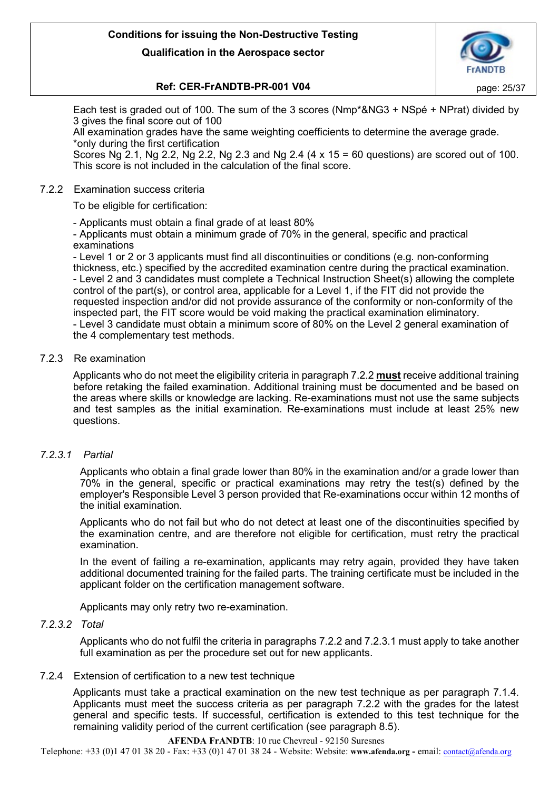

# **Ref: CER-FrANDTB-PR-001 V04 page: 25/37**

Each test is graded out of 100. The sum of the 3 scores (Nmp\*&NG3 + NSpé + NPrat) divided by 3 gives the final score out of 100

All examination grades have the same weighting coefficients to determine the average grade. \*only during the first certification

Scores Ng 2.1, Ng 2.2, Ng 2.2, Ng 2.3 and Ng 2.4  $(4 \times 15 = 60$  questions) are scored out of 100. This score is not included in the calculation of the final score.

# <span id="page-24-0"></span>7.2.2 Examination success criteria

To be eligible for certification:

- Applicants must obtain a final grade of at least 80%

- Applicants must obtain a minimum grade of 70% in the general, specific and practical examinations

- Level 1 or 2 or 3 applicants must find all discontinuities or conditions (e.g. non-conforming thickness, etc.) specified by the accredited examination centre during the practical examination. - Level 2 and 3 candidates must complete a Technical Instruction Sheet(s) allowing the complete control of the part(s), or control area, applicable for a Level 1, if the FIT did not provide the requested inspection and/or did not provide assurance of the conformity or non-conformity of the inspected part, the FIT score would be void making the practical examination eliminatory. - Level 3 candidate must obtain a minimum score of 80% on the Level 2 general examination of the 4 complementary test methods.

# <span id="page-24-1"></span>7.2.3 Re examination

Applicants who do not meet the eligibility criteria in paragraph 7.2.2 **must** receive additional training before retaking the failed examination. Additional training must be documented and be based on the areas where skills or knowledge are lacking. Re-examinations must not use the same subjects and test samples as the initial examination. Re-examinations must include at least 25% new questions.

# *7.2.3.1 Partial*

<span id="page-24-2"></span>Applicants who obtain a final grade lower than 80% in the examination and/or a grade lower than 70% in the general, specific or practical examinations may retry the test(s) defined by the employer's Responsible Level 3 person provided that Re-examinations occur within 12 months of the initial examination.

Applicants who do not fail but who do not detect at least one of the discontinuities specified by the examination centre, and are therefore not eligible for certification, must retry the practical examination.

In the event of failing a re-examination, applicants may retry again, provided they have taken additional documented training for the failed parts. The training certificate must be included in the applicant folder on the certification management software.

Applicants may only retry two re-examination.

## <span id="page-24-3"></span>*7.2.3.2 Total*

Applicants who do not fulfil the criteria in paragraphs 7.2.2 and 7.2.3.1 must apply to take another full examination as per the procedure set out for new applicants.

# <span id="page-24-4"></span>7.2.4 Extension of certification to a new test technique

Applicants must take a practical examination on the new test technique as per paragraph 7.1.4. Applicants must meet the success criteria as per paragraph 7.2.2 with the grades for the latest general and specific tests. If successful, certification is extended to this test technique for the remaining validity period of the current certification (see paragraph 8.5).

#### **AFENDA FrANDTB**: 10 rue Chevreul - 92150 Suresnes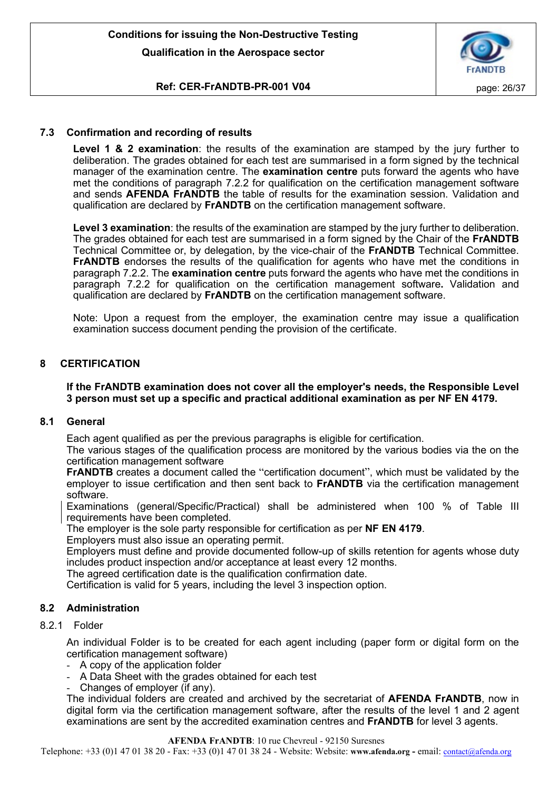

# **Ref: CER-FrANDTB-PR-001 V04 page: 26/37**

# <span id="page-25-0"></span>**7.3 Confirmation and recording of results**

**Level 1 & 2 examination**: the results of the examination are stamped by the jury further to deliberation. The grades obtained for each test are summarised in a form signed by the technical manager of the examination centre. The **examination centre** puts forward the agents who have met the conditions of paragraph 7.2.2 for qualification on the certification management software and sends **AFENDA FrANDTB** the table of results for the examination session. Validation and qualification are declared by **FrANDTB** on the certification management software.

**Level 3 examination**: the results of the examination are stamped by the jury further to deliberation. The grades obtained for each test are summarised in a form signed by the Chair of the **FrANDTB**  Technical Committee or, by delegation, by the vice-chair of the **FrANDTB** Technical Committee. **FrANDTB** endorses the results of the qualification for agents who have met the conditions in paragraph 7.2.2. The **examination centre** puts forward the agents who have met the conditions in paragraph 7.2.2 for qualification on the certification management software**.** Validation and qualification are declared by **FrANDTB** on the certification management software.

Note: Upon a request from the employer, the examination centre may issue a qualification examination success document pending the provision of the certificate.

# <span id="page-25-1"></span>**8 CERTIFICATION**

# **If the FrANDTB examination does not cover all the employer's needs, the Responsible Level 3 person must set up a specific and practical additional examination as per NF EN 4179.**

## <span id="page-25-2"></span>**8.1 General**

Each agent qualified as per the previous paragraphs is eligible for certification.

The various stages of the qualification process are monitored by the various bodies via the on the certification management software

**FrANDTB** creates a document called the "certification document", which must be validated by the employer to issue certification and then sent back to **FrANDTB** via the certification management software.

Examinations (general/Specific/Practical) shall be administered when 100 % of Table III requirements have been completed.

The employer is the sole party responsible for certification as per **NF EN 4179**.

Employers must also issue an operating permit.

Employers must define and provide documented follow-up of skills retention for agents whose duty includes product inspection and/or acceptance at least every 12 months.

The agreed certification date is the qualification confirmation date.

Certification is valid for 5 years, including the level 3 inspection option.

## <span id="page-25-3"></span>**8.2 Administration**

# <span id="page-25-4"></span>8.2.1 Folder

An individual Folder is to be created for each agent including (paper form or digital form on the certification management software)

- A copy of the application folder
- A Data Sheet with the grades obtained for each test
- Changes of employer (if any).

The individual folders are created and archived by the secretariat of **AFENDA FrANDTB**, now in digital form via the certification management software, after the results of the level 1 and 2 agent examinations are sent by the accredited examination centres and **FrANDTB** for level 3 agents.

#### **AFENDA FrANDTB**: 10 rue Chevreul - 92150 Suresnes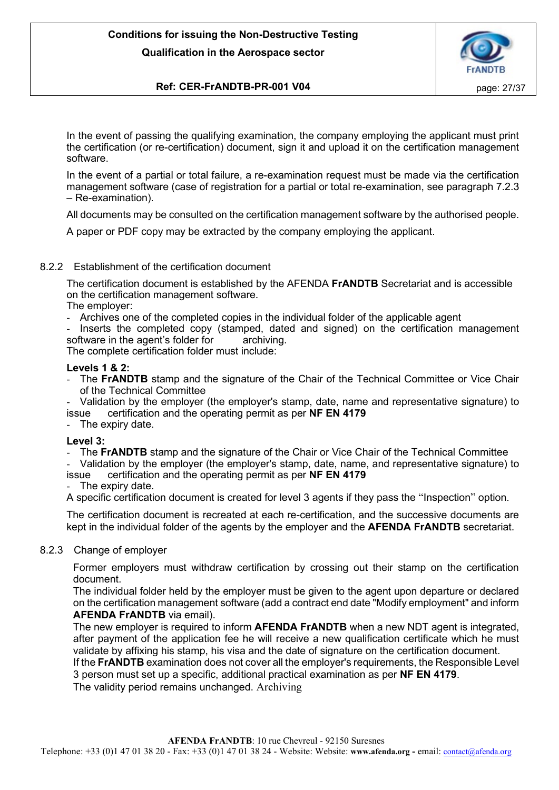

# **Ref: CER-FrANDTB-PR-001 V04 page: 27/37**

In the event of passing the qualifying examination, the company employing the applicant must print the certification (or re-certification) document, sign it and upload it on the certification management software.

In the event of a partial or total failure, a re-examination request must be made via the certification management software (case of registration for a partial or total re-examination, see paragraph 7.2.3 – Re-examination).

All documents may be consulted on the certification management software by the authorised people.

A paper or PDF copy may be extracted by the company employing the applicant.

# <span id="page-26-0"></span>8.2.2 Establishment of the certification document

The certification document is established by the AFENDA **FrANDTB** Secretariat and is accessible on the certification management software.

The employer:

- Archives one of the completed copies in the individual folder of the applicable agent
- Inserts the completed copy (stamped, dated and signed) on the certification management software in the agent's folder for archiving.

The complete certification folder must include:

# **Levels 1 & 2:**

The FrANDTB stamp and the signature of the Chair of the Technical Committee or Vice Chair of the Technical Committee

- Validation by the employer (the employer's stamp, date, name and representative signature) to issue certification and the operating permit as per **NF EN 4179**

- The expiry date.

## **Level 3:**

The **FrANDTB** stamp and the signature of the Chair or Vice Chair of the Technical Committee

- Validation by the employer (the employer's stamp, date, name, and representative signature) to issue certification and the operating permit as per **NF EN 4179**

The expiry date.

A specific certification document is created for level 3 agents if they pass the "Inspection" option.

The certification document is recreated at each re-certification, and the successive documents are kept in the individual folder of the agents by the employer and the **AFENDA FrANDTB** secretariat.

## <span id="page-26-1"></span>8.2.3 Change of employer

Former employers must withdraw certification by crossing out their stamp on the certification document.

The individual folder held by the employer must be given to the agent upon departure or declared on the certification management software (add a contract end date "Modify employment" and inform **AFENDA FrANDTB** via email).

The new employer is required to inform **AFENDA FrANDTB** when a new NDT agent is integrated, after payment of the application fee he will receive a new qualification certificate which he must validate by affixing his stamp, his visa and the date of signature on the certification document.

If the **FrANDTB** examination does not cover all the employer's requirements, the Responsible Level 3 person must set up a specific, additional practical examination as per **NF EN 4179**.

The validity period remains unchanged. Archiving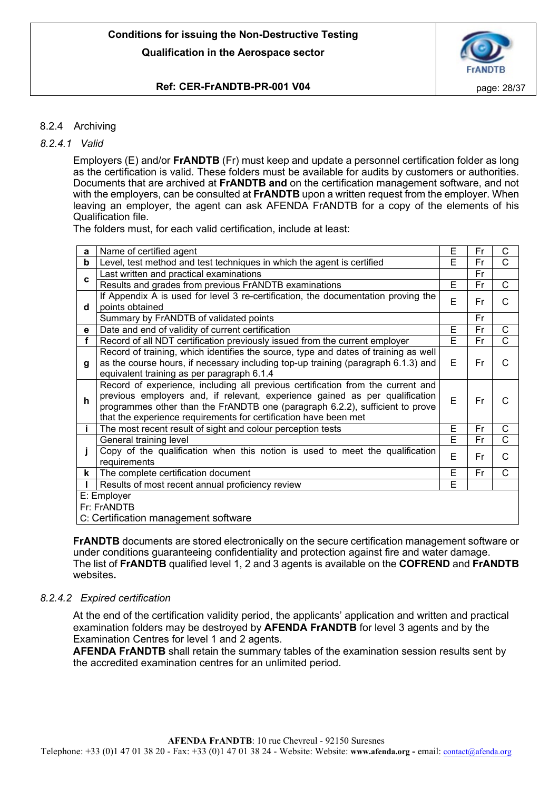

# **Ref: CER-FrANDTB-PR-001 V04 page: 28/37**

# <span id="page-27-0"></span>8.2.4 Archiving

# <span id="page-27-1"></span>*8.2.4.1 Valid*

Employers (E) and/or **FrANDTB** (Fr) must keep and update a personnel certification folder as long as the certification is valid. These folders must be available for audits by customers or authorities. Documents that are archived at **FrANDTB and** on the certification management software, and not with the employers, can be consulted at **FrANDTB** upon a written request from the employer. When leaving an employer, the agent can ask AFENDA FrANDTB for a copy of the elements of his Qualification file.

The folders must, for each valid certification, include at least:

| a | Name of certified agent                                                             | E | Fr | C            |
|---|-------------------------------------------------------------------------------------|---|----|--------------|
| b | Level, test method and test techniques in which the agent is certified              | E | Fr | C            |
|   | Last written and practical examinations                                             |   | Fr |              |
| C | Results and grades from previous FrANDTB examinations                               | Е | Fr | C            |
|   | If Appendix A is used for level 3 re-certification, the documentation proving the   | E | Fr | C            |
| d | points obtained                                                                     |   |    |              |
|   | Summary by FrANDTB of validated points                                              |   | Fr |              |
| е | Date and end of validity of current certification                                   | E | Fr | C            |
| f | Record of all NDT certification previously issued from the current employer         | E | Fr | $\mathsf{C}$ |
|   | Record of training, which identifies the source, type and dates of training as well |   |    |              |
| g | as the course hours, if necessary including top-up training (paragraph 6.1.3) and   | E | Fr | C            |
|   | equivalent training as per paragraph 6.1.4                                          |   |    |              |
|   | Record of experience, including all previous certification from the current and     |   |    |              |
| h | previous employers and, if relevant, experience gained as per qualification         | E | Fr | C            |
|   | programmes other than the FrANDTB one (paragraph 6.2.2), sufficient to prove        |   |    |              |
|   | that the experience requirements for certification have been met                    |   |    |              |
|   | The most recent result of sight and colour perception tests                         | E | Fr | C            |
|   | General training level                                                              | E | Fr | C            |
|   | Copy of the qualification when this notion is used to meet the qualification        | E | Fr | C            |
|   | requirements                                                                        |   |    |              |
| k | The complete certification document                                                 | Е | Fr | C            |
|   | Results of most recent annual proficiency review                                    | E |    |              |
|   | E: Employer                                                                         |   |    |              |
|   | Fr: FrANDTB                                                                         |   |    |              |
|   | C: Certification management software                                                |   |    |              |
|   |                                                                                     |   |    |              |

**FrANDTB** documents are stored electronically on the secure certification management software or under conditions guaranteeing confidentiality and protection against fire and water damage. The list of **FrANDTB** qualified level 1, 2 and 3 agents is available on the **COFREND** and **FrANDTB** websites**.**

# <span id="page-27-2"></span>*8.2.4.2 Expired certification*

At the end of the certification validity period, the applicants' application and written and practical examination folders may be destroyed by **AFENDA FrANDTB** for level 3 agents and by the Examination Centres for level 1 and 2 agents.

**AFENDA FrANDTB** shall retain the summary tables of the examination session results sent by the accredited examination centres for an unlimited period.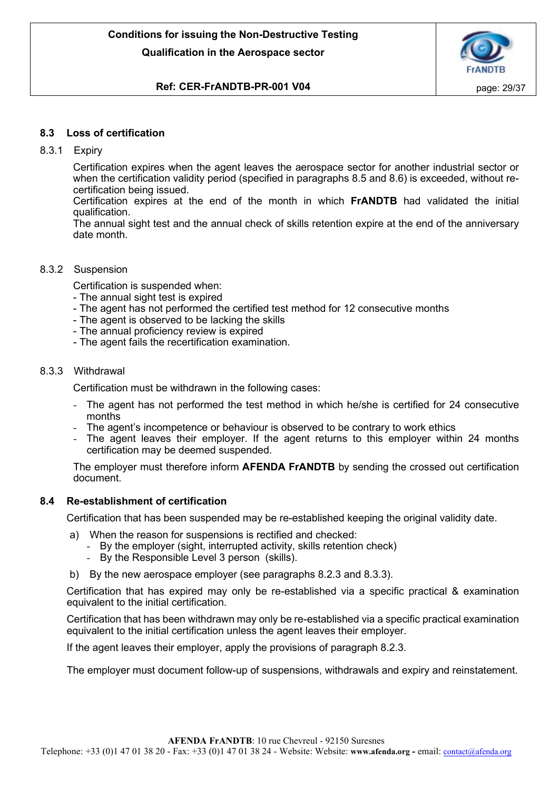

# **Ref: CER-FrANDTB-PR-001 V04 page: 29/37**

# <span id="page-28-0"></span>**8.3 Loss of certification**

# <span id="page-28-1"></span>8.3.1 Expiry

Certification expires when the agent leaves the aerospace sector for another industrial sector or when the certification validity period (specified in paragraphs 8.5 and 8.6) is exceeded, without recertification being issued.

Certification expires at the end of the month in which **FrANDTB** had validated the initial qualification.

The annual sight test and the annual check of skills retention expire at the end of the anniversary date month.

## <span id="page-28-2"></span>8.3.2 Suspension

Certification is suspended when:

- The annual sight test is expired
- The agent has not performed the certified test method for 12 consecutive months
- The agent is observed to be lacking the skills
- The annual proficiency review is expired
- The agent fails the recertification examination.

## <span id="page-28-3"></span>8.3.3 Withdrawal

Certification must be withdrawn in the following cases:

- The agent has not performed the test method in which he/she is certified for 24 consecutive months
- The agent's incompetence or behaviour is observed to be contrary to work ethics
- The agent leaves their employer. If the agent returns to this employer within 24 months certification may be deemed suspended.

The employer must therefore inform **AFENDA FrANDTB** by sending the crossed out certification document.

## <span id="page-28-4"></span>**8.4 Re-establishment of certification**

Certification that has been suspended may be re-established keeping the original validity date.

- a) When the reason for suspensions is rectified and checked:
	- By the employer (sight, interrupted activity, skills retention check)
	- By the Responsible Level 3 person (skills).
- b) By the new aerospace employer (see paragraphs 8.2.3 and 8.3.3).

Certification that has expired may only be re-established via a specific practical & examination equivalent to the initial certification.

Certification that has been withdrawn may only be re-established via a specific practical examination equivalent to the initial certification unless the agent leaves their employer.

If the agent leaves their employer, apply the provisions of paragraph 8.2.3.

The employer must document follow-up of suspensions, withdrawals and expiry and reinstatement.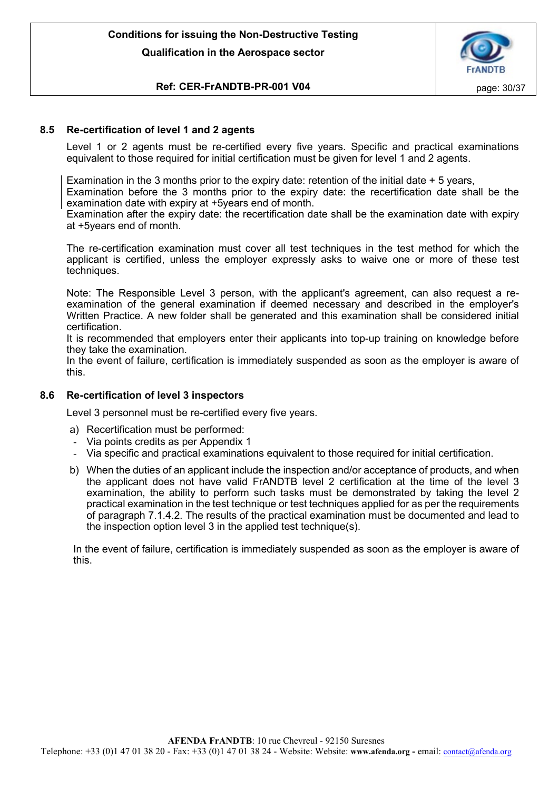

# **Ref: CER-FrANDTB-PR-001 V04 page: 30/37**

# <span id="page-29-0"></span>**8.5 Re-certification of level 1 and 2 agents**

Level 1 or 2 agents must be re-certified every five years. Specific and practical examinations equivalent to those required for initial certification must be given for level 1 and 2 agents.

Examination in the 3 months prior to the expiry date: retention of the initial date  $+5$  years,

Examination before the 3 months prior to the expiry date: the recertification date shall be the examination date with expiry at +5years end of month.

Examination after the expiry date: the recertification date shall be the examination date with expiry at +5years end of month.

The re-certification examination must cover all test techniques in the test method for which the applicant is certified, unless the employer expressly asks to waive one or more of these test techniques.

Note: The Responsible Level 3 person, with the applicant's agreement, can also request a reexamination of the general examination if deemed necessary and described in the employer's Written Practice. A new folder shall be generated and this examination shall be considered initial certification.

It is recommended that employers enter their applicants into top-up training on knowledge before they take the examination.

In the event of failure, certification is immediately suspended as soon as the employer is aware of this.

# <span id="page-29-1"></span>**8.6 Re-certification of level 3 inspectors**

Level 3 personnel must be re-certified every five years.

- a) Recertification must be performed:
- Via points credits as per Appendix 1
- Via specific and practical examinations equivalent to those required for initial certification.
- b) When the duties of an applicant include the inspection and/or acceptance of products, and when the applicant does not have valid FrANDTB level 2 certification at the time of the level 3 examination, the ability to perform such tasks must be demonstrated by taking the level 2 practical examination in the test technique or test techniques applied for as per the requirements of paragraph 7.1.4.2. The results of the practical examination must be documented and lead to the inspection option level 3 in the applied test technique(s).

In the event of failure, certification is immediately suspended as soon as the employer is aware of this.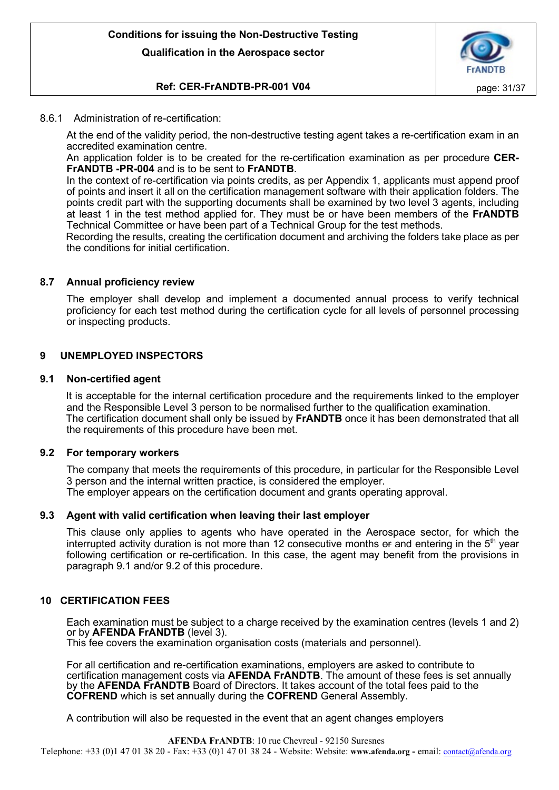

# **Ref: CER-FrANDTB-PR-001 V04 page: 31/37**

# <span id="page-30-0"></span>8.6.1 Administration of re-certification:

At the end of the validity period, the non-destructive testing agent takes a re-certification exam in an accredited examination centre.

An application folder is to be created for the re-certification examination as per procedure **CER-FrANDTB -PR-004** and is to be sent to **FrANDTB**.

In the context of re-certification via points credits, as per Appendix 1, applicants must append proof of points and insert it all on the certification management software with their application folders. The points credit part with the supporting documents shall be examined by two level 3 agents, including at least 1 in the test method applied for. They must be or have been members of the **FrANDTB** Technical Committee or have been part of a Technical Group for the test methods.

Recording the results, creating the certification document and archiving the folders take place as per the conditions for initial certification.

# <span id="page-30-1"></span>**8.7 Annual proficiency review**

The employer shall develop and implement a documented annual process to verify technical proficiency for each test method during the certification cycle for all levels of personnel processing or inspecting products.

# <span id="page-30-2"></span>**9 UNEMPLOYED INSPECTORS**

## <span id="page-30-3"></span>**9.1 Non-certified agent**

It is acceptable for the internal certification procedure and the requirements linked to the employer and the Responsible Level 3 person to be normalised further to the qualification examination. The certification document shall only be issued by **FrANDTB** once it has been demonstrated that all the requirements of this procedure have been met.

## <span id="page-30-4"></span>**9.2 For temporary workers**

The company that meets the requirements of this procedure, in particular for the Responsible Level 3 person and the internal written practice, is considered the employer. The employer appears on the certification document and grants operating approval.

## <span id="page-30-5"></span>**9.3 Agent with valid certification when leaving their last employer**

This clause only applies to agents who have operated in the Aerospace sector, for which the interrupted activity duration is not more than 12 consecutive months  $\theta$  and entering in the  $5<sup>th</sup>$  year following certification or re-certification. In this case, the agent may benefit from the provisions in paragraph 9.1 and/or 9.2 of this procedure.

# <span id="page-30-6"></span>**10 CERTIFICATION FEES**

Each examination must be subject to a charge received by the examination centres (levels 1 and 2) or by **AFENDA FrANDTB** (level 3). This fee covers the examination organisation costs (materials and personnel).

For all certification and re-certification examinations, employers are asked to contribute to certification management costs via **AFENDA FrANDTB**. The amount of these fees is set annually by the **AFENDA FrANDTB** Board of Directors. It takes account of the total fees paid to the **COFREND** which is set annually during the **COFREND** General Assembly.

A contribution will also be requested in the event that an agent changes employers

**AFENDA FrANDTB**: 10 rue Chevreul - 92150 Suresnes Telephone: +33 (0)1 47 01 38 20 - Fax: +33 (0)1 47 01 38 24 - Website: Website: **www.afenda.org -** email: [contact@afenda.org](mailto:contact@afenda.org)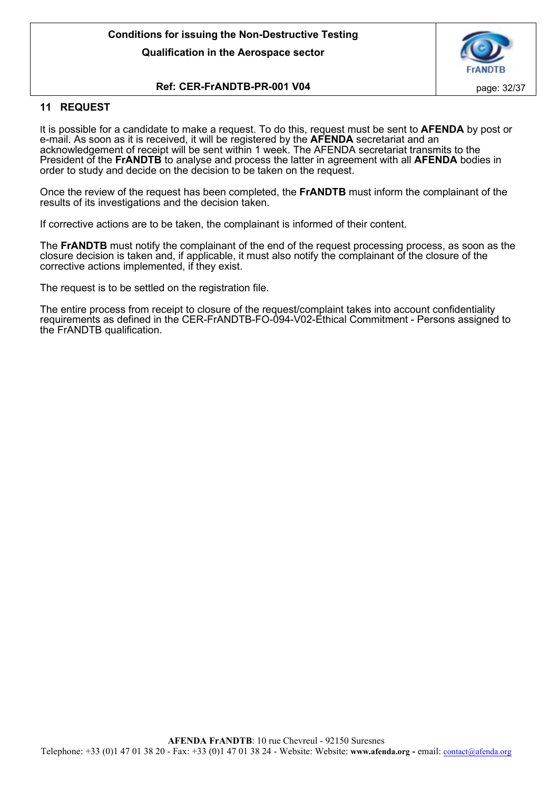

# **Ref: CER-FrANDTB-PR-001 V04 page: 32/37**

# <span id="page-31-0"></span>**11 REQUEST**

It is possible for a candidate to make a request. To do this, request must be sent to **AFENDA** by post or e-mail. As soon as it is received, it will be registered by the **AFENDA** secretariat and an acknowledgement of receipt will be sent within 1 week. The AFENDA secretariat transmits to the President of the **FrANDTB** to analyse and process the latter in agreement with all **AFENDA** bodies in order to study and decide on the decision to be taken on the request.

Once the review of the request has been completed, the **FrANDTB** must inform the complainant of the results of its investigations and the decision taken.

If corrective actions are to be taken, the complainant is informed of their content.

The **FrANDTB** must notify the complainant of the end of the request processing process, as soon as the closure decision is taken and, if applicable, it must also notify the complainant of the closure of the corrective actions implemented, if they exist.

The request is to be settled on the registration file.

The entire process from receipt to closure of the request/complaint takes into account confidentiality requirements as defined in the CER-FrANDTB-FO-094-V02-Ethical Commitment - Persons assigned to the FrANDTB qualification.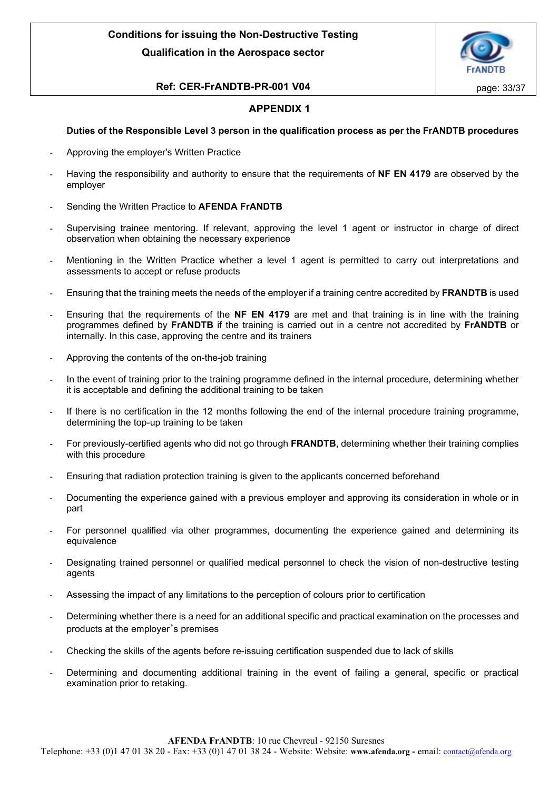

# **Ref: CER-FrANDTB-PR-001 V04 page: 33/37**

# **APPENDIX 1**

# **Duties of the Responsible Level 3 person in the qualification process as per the FrANDTB procedures**

- Approving the employer's Written Practice
- Having the responsibility and authority to ensure that the requirements of **NF EN 4179** are observed by the employer
- Sending the Written Practice to **AFENDA FrANDTB**
- Supervising trainee mentoring. If relevant, approving the level 1 agent or instructor in charge of direct observation when obtaining the necessary experience
- Mentioning in the Written Practice whether a level 1 agent is permitted to carry out interpretations and assessments to accept or refuse products
- Ensuring that the training meets the needs of the employer if a training centre accredited by **FRANDTB** is used
- Ensuring that the requirements of the **NF EN 4179** are met and that training is in line with the training programmes defined by **FrANDTB** if the training is carried out in a centre not accredited by **FrANDTB** or internally. In this case, approving the centre and its trainers
- Approving the contents of the on-the-job training
- In the event of training prior to the training programme defined in the internal procedure, determining whether it is acceptable and defining the additional training to be taken
- If there is no certification in the 12 months following the end of the internal procedure training programme, determining the top-up training to be taken
- For previously-certified agents who did not go through **FRANDTB**, determining whether their training complies with this procedure
- Ensuring that radiation protection training is given to the applicants concerned beforehand
- Documenting the experience gained with a previous employer and approving its consideration in whole or in part
- For personnel qualified via other programmes, documenting the experience gained and determining its equivalence
- Designating trained personnel or qualified medical personnel to check the vision of non-destructive testing agents
- Assessing the impact of any limitations to the perception of colours prior to certification
- Determining whether there is a need for an additional specific and practical examination on the processes and products at the employer's premises
- Checking the skills of the agents before re-issuing certification suspended due to lack of skills
- Determining and documenting additional training in the event of failing a general, specific or practical examination prior to retaking.

**AFENDA FrANDTB**: 10 rue Chevreul - 92150 Suresnes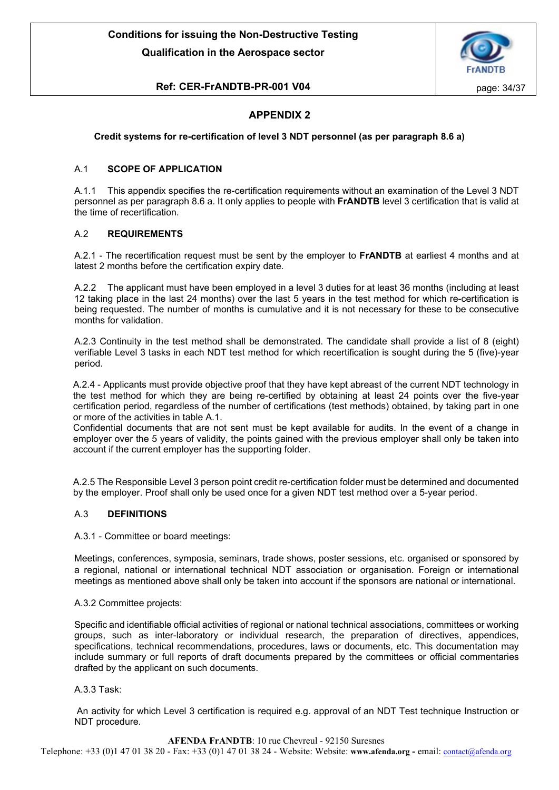

# **Ref: CER-FrANDTB-PR-001 V04 page: 34/37**

# **APPENDIX 2**

#### **Credit systems for re-certification of level 3 NDT personnel (as per paragraph 8.6 a)**

#### A.1 **SCOPE OF APPLICATION**

A.1.1 This appendix specifies the re-certification requirements without an examination of the Level 3 NDT personnel as per paragraph 8.6 a. It only applies to people with **FrANDTB** level 3 certification that is valid at the time of recertification.

#### A.2 **REQUIREMENTS**

A.2.1 - The recertification request must be sent by the employer to **FrANDTB** at earliest 4 months and at latest 2 months before the certification expiry date.

A.2.2 The applicant must have been employed in a level 3 duties for at least 36 months (including at least 12 taking place in the last 24 months) over the last 5 years in the test method for which re-certification is being requested. The number of months is cumulative and it is not necessary for these to be consecutive months for validation.

A.2.3 Continuity in the test method shall be demonstrated. The candidate shall provide a list of 8 (eight) verifiable Level 3 tasks in each NDT test method for which recertification is sought during the 5 (five)-year period.

A.2.4 - Applicants must provide objective proof that they have kept abreast of the current NDT technology in the test method for which they are being re-certified by obtaining at least 24 points over the five-year certification period, regardless of the number of certifications (test methods) obtained, by taking part in one or more of the activities in table A.1.

Confidential documents that are not sent must be kept available for audits. In the event of a change in employer over the 5 years of validity, the points gained with the previous employer shall only be taken into account if the current employer has the supporting folder.

A.2.5 The Responsible Level 3 person point credit re-certification folder must be determined and documented by the employer. Proof shall only be used once for a given NDT test method over a 5-year period.

#### A.3 **DEFINITIONS**

A.3.1 - Committee or board meetings:

Meetings, conferences, symposia, seminars, trade shows, poster sessions, etc. organised or sponsored by a regional, national or international technical NDT association or organisation. Foreign or international meetings as mentioned above shall only be taken into account if the sponsors are national or international.

#### A.3.2 Committee projects:

Specific and identifiable official activities of regional or national technical associations, committees or working groups, such as inter-laboratory or individual research, the preparation of directives, appendices, specifications, technical recommendations, procedures, laws or documents, etc. This documentation may include summary or full reports of draft documents prepared by the committees or official commentaries drafted by the applicant on such documents.

#### A.3.3 Task:

An activity for which Level 3 certification is required e.g. approval of an NDT Test technique Instruction or NDT procedure.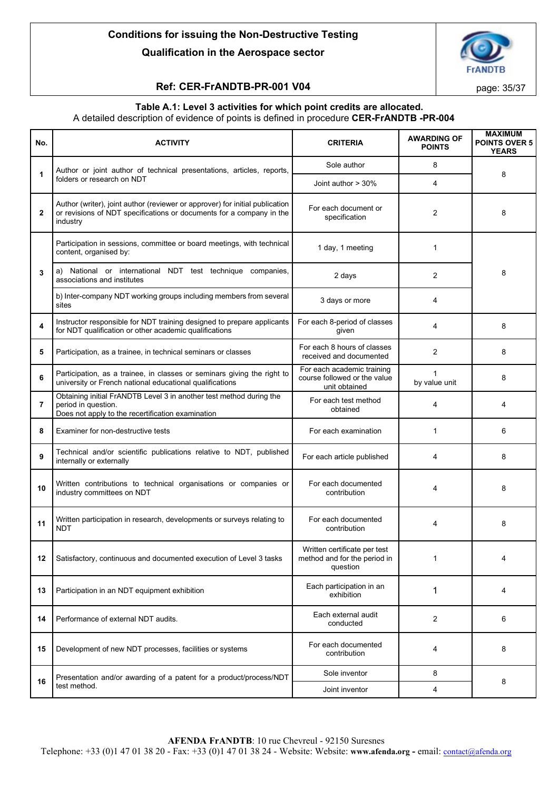

# **Ref: CER-FrANDTB-PR-001 V04 page: 35/37**

#### **Table A.1: Level 3 activities for which point credits are allocated.** A detailed description of evidence of points is defined in procedure **CER-FrANDTB -PR-004**

| No.            | <b>ACTIVITY</b>                                                                                                                                                  | <b>CRITERIA</b>                                                             | <b>AWARDING OF</b><br><b>POINTS</b> | <b>MAXIMUM</b><br><b>POINTS OVER 5</b><br><b>YEARS</b> |  |
|----------------|------------------------------------------------------------------------------------------------------------------------------------------------------------------|-----------------------------------------------------------------------------|-------------------------------------|--------------------------------------------------------|--|
| 1              | Author or joint author of technical presentations, articles, reports,                                                                                            | Sole author                                                                 | 8                                   |                                                        |  |
|                | folders or research on NDT                                                                                                                                       | Joint author > 30%                                                          | 4                                   | 8                                                      |  |
| $\overline{2}$ | Author (writer), joint author (reviewer or approver) for initial publication<br>or revisions of NDT specifications or documents for a company in the<br>industry | For each document or<br>specification                                       | 2                                   | 8                                                      |  |
| 3              | Participation in sessions, committee or board meetings, with technical<br>content, organised by:                                                                 | 1 day, 1 meeting                                                            | 1                                   | 8                                                      |  |
|                | a) National or international NDT test technique companies,<br>associations and institutes                                                                        | 2 days                                                                      | $\overline{2}$                      |                                                        |  |
|                | b) Inter-company NDT working groups including members from several<br>sites                                                                                      | 3 days or more                                                              | 4                                   |                                                        |  |
| 4              | Instructor responsible for NDT training designed to prepare applicants<br>for NDT qualification or other academic qualifications                                 | For each 8-period of classes<br>given                                       | 4                                   | 8                                                      |  |
| 5              | Participation, as a trainee, in technical seminars or classes                                                                                                    | For each 8 hours of classes<br>received and documented                      | $\overline{2}$                      | 8                                                      |  |
| 6              | Participation, as a trainee, in classes or seminars giving the right to<br>university or French national educational qualifications                              | For each academic training<br>course followed or the value<br>unit obtained | 1<br>by value unit                  | 8                                                      |  |
| $\overline{7}$ | Obtaining initial FrANDTB Level 3 in another test method during the<br>period in question.<br>Does not apply to the recertification examination                  | For each test method<br>obtained                                            | 4                                   | 4                                                      |  |
| 8              | Examiner for non-destructive tests                                                                                                                               | For each examination                                                        | 1                                   | 6                                                      |  |
| 9              | Technical and/or scientific publications relative to NDT, published<br>internally or externally                                                                  | For each article published                                                  | 4                                   | 8                                                      |  |
| 10             | Written contributions to technical organisations or companies or<br>industry committees on NDT                                                                   | For each documented<br>contribution                                         | 4                                   | 8                                                      |  |
| 11             | Written participation in research, developments or surveys relating to<br><b>NDT</b>                                                                             | For each documented<br>contribution                                         | 4                                   | 8                                                      |  |
| 12             | Satisfactory, continuous and documented execution of Level 3 tasks                                                                                               | Written certificate per test<br>method and for the period in<br>question    | 1                                   | 4                                                      |  |
| 13             | Participation in an NDT equipment exhibition                                                                                                                     | Each participation in an<br>exhibition                                      | 1                                   | 4                                                      |  |
| 14             | Performance of external NDT audits.                                                                                                                              | Each external audit<br>conducted                                            | 2                                   | 6                                                      |  |
| 15             | Development of new NDT processes, facilities or systems                                                                                                          | For each documented<br>contribution                                         | 4                                   | 8                                                      |  |
|                | Presentation and/or awarding of a patent for a product/process/NDT                                                                                               | Sole inventor                                                               | 8                                   | 8                                                      |  |
| 16             | test method.                                                                                                                                                     | Joint inventor                                                              | 4                                   |                                                        |  |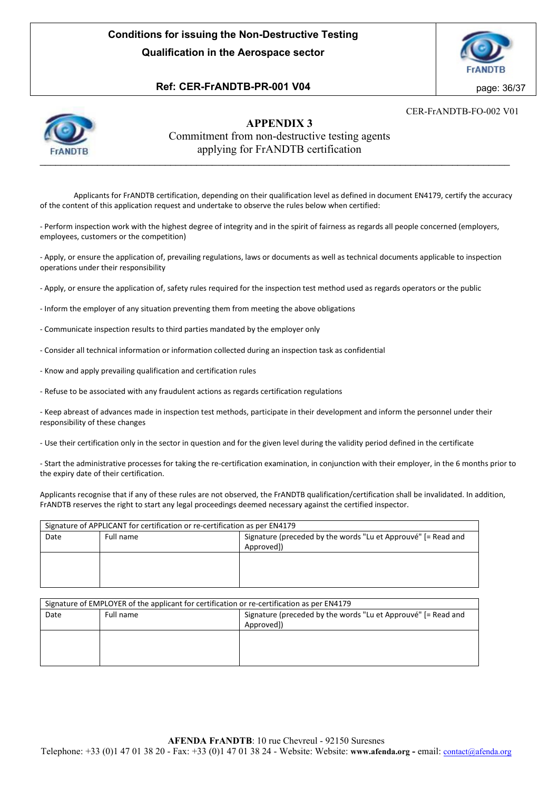

# **Ref: CER-FrANDTB-PR-001 V04** page: 36/37

CER-FrANDTB-FO-002 V01



# **APPENDIX 3** Commitment from non-destructive testing agents applying for FrANDTB certification

Applicants for FrANDTB certification, depending on their qualification level as defined in document EN4179, certify the accuracy of the content of this application request and undertake to observe the rules below when certified:

- Perform inspection work with the highest degree of integrity and in the spirit of fairness as regards all people concerned (employers, employees, customers or the competition)

- Apply, or ensure the application of, prevailing regulations, laws or documents as well as technical documents applicable to inspection operations under their responsibility

- Apply, or ensure the application of, safety rules required for the inspection test method used as regards operators or the public

- Inform the employer of any situation preventing them from meeting the above obligations
- Communicate inspection results to third parties mandated by the employer only
- Consider all technical information or information collected during an inspection task as confidential
- Know and apply prevailing qualification and certification rules
- Refuse to be associated with any fraudulent actions as regards certification regulations

- Keep abreast of advances made in inspection test methods, participate in their development and inform the personnel under their responsibility of these changes

- Use their certification only in the sector in question and for the given level during the validity period defined in the certificate

- Start the administrative processes for taking the re-certification examination, in conjunction with their employer, in the 6 months prior to the expiry date of their certification.

Applicants recognise that if any of these rules are not observed, the FrANDTB qualification/certification shall be invalidated. In addition, FrANDTB reserves the right to start any legal proceedings deemed necessary against the certified inspector.

| Signature of APPLICANT for certification or re-certification as per EN4179 |           |                                                               |  |  |
|----------------------------------------------------------------------------|-----------|---------------------------------------------------------------|--|--|
| Date                                                                       | Full name | Signature (preceded by the words "Lu et Approuvé" [= Read and |  |  |
|                                                                            |           | Approved])                                                    |  |  |
|                                                                            |           |                                                               |  |  |
|                                                                            |           |                                                               |  |  |
|                                                                            |           |                                                               |  |  |
|                                                                            |           |                                                               |  |  |

| Signature of EMPLOYER of the applicant for certification or re-certification as per EN4179 |           |                                                               |  |  |  |
|--------------------------------------------------------------------------------------------|-----------|---------------------------------------------------------------|--|--|--|
| Date                                                                                       | Full name | Signature (preceded by the words "Lu et Approuvé" [= Read and |  |  |  |
|                                                                                            |           | Approved])                                                    |  |  |  |
|                                                                                            |           |                                                               |  |  |  |
|                                                                                            |           |                                                               |  |  |  |
|                                                                                            |           |                                                               |  |  |  |
|                                                                                            |           |                                                               |  |  |  |